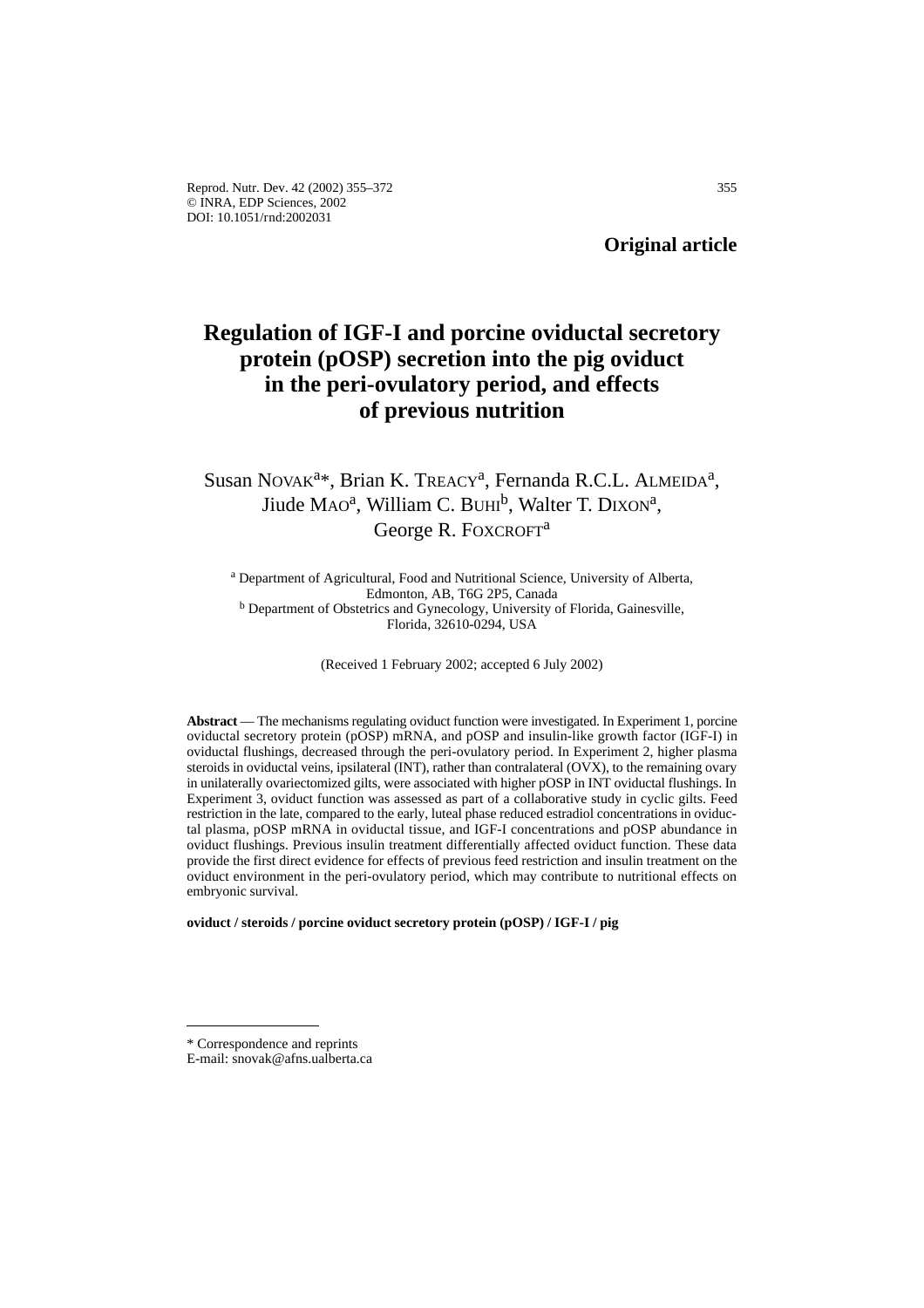**Original article**

# **Regulation of IGF-I and porcine oviductal secretory protein (pOSP) secretion into the pig oviduct in the peri-ovulatory period, and effects of previous nutrition**

## Susan NOVAK<sup>a\*</sup>, Brian K. TREACY<sup>a</sup>, Fernanda R.C.L. ALMEIDA<sup>a</sup>, Jiude MAO<sup>a</sup>, William C. BUHI<sup>b</sup>, Walter T. DIXON<sup>a</sup>, George R. FOXCROFT<sup>a</sup>

<sup>a</sup> Department of Agricultural, Food and Nutritional Science, University of Alberta, Edmonton, AB, T6G 2P5, Canada <sup>b</sup> Department of Obstetrics and Gynecology, University of Florida, Gainesville, Florida, 32610-0294, USA

(Received 1 February 2002; accepted 6 July 2002)

**Abstract** — The mechanisms regulating oviduct function were investigated. In Experiment 1, porcine oviductal secretory protein (pOSP) mRNA, and pOSP and insulin-like growth factor (IGF-I) in oviductal flushings, decreased through the peri-ovulatory period. In Experiment 2, higher plasma steroids in oviductal veins, ipsilateral (INT), rather than contralateral (OVX), to the remaining ovary in unilaterally ovariectomized gilts, were associated with higher pOSP in INT oviductal flushings. In Experiment 3, oviduct function was assessed as part of a collaborative study in cyclic gilts. Feed restriction in the late, compared to the early, luteal phase reduced estradiol concentrations in oviductal plasma, pOSP mRNA in oviductal tissue, and IGF-I concentrations and pOSP abundance in oviduct flushings. Previous insulin treatment differentially affected oviduct function. These data provide the first direct evidence for effects of previous feed restriction and insulin treatment on the oviduct environment in the peri-ovulatory period, which may contribute to nutritional effects on embryonic survival.

**oviduct / steroids / porcine oviduct secretory protein (pOSP) / IGF-I / pig**

<sup>\*</sup> Correspondence and reprints

E-mail: snovak@afns.ualberta.ca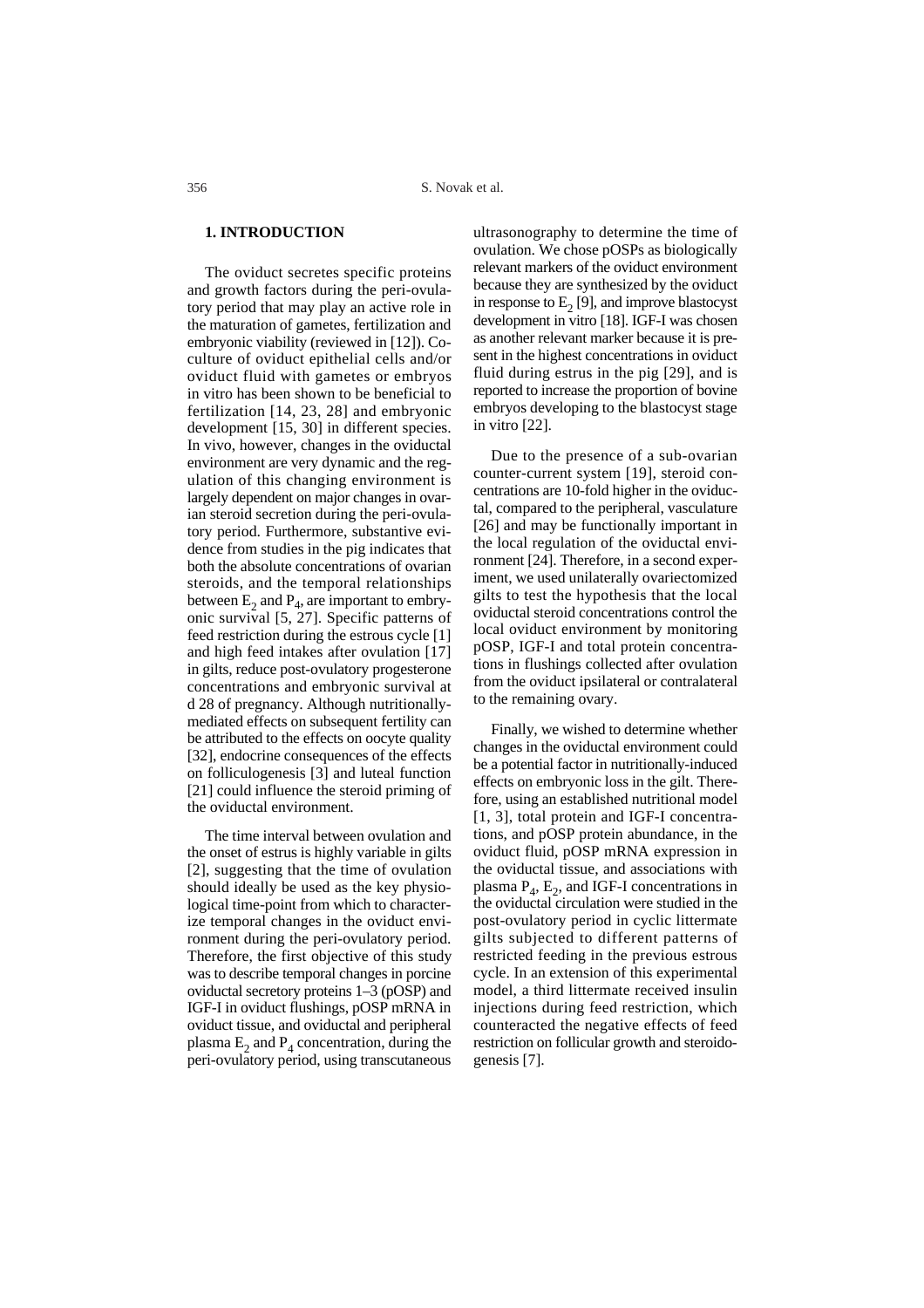## **1. INTRODUCTION**

The oviduct secretes specific proteins and growth factors during the peri-ovulatory period that may play an active role in the maturation of gametes, fertilization and embryonic viability (reviewed in [12]). Coculture of oviduct epithelial cells and/or oviduct fluid with gametes or embryos in vitro has been shown to be beneficial to fertilization [14, 23, 28] and embryonic development [15, 30] in different species. In vivo, however, changes in the oviductal environment are very dynamic and the regulation of this changing environment is largely dependent on major changes in ovarian steroid secretion during the peri-ovulatory period. Furthermore, substantive evidence from studies in the pig indicates that both the absolute concentrations of ovarian steroids, and the temporal relationships between  $E_2$  and  $P_4$ , are important to embryonic survival [5, 27]. Specific patterns of feed restriction during the estrous cycle [1] and high feed intakes after ovulation [17] in gilts, reduce post-ovulatory progesterone concentrations and embryonic survival at d 28 of pregnancy. Although nutritionallymediated effects on subsequent fertility can be attributed to the effects on oocyte quality [32], endocrine consequences of the effects on folliculogenesis [3] and luteal function [21] could influence the steroid priming of the oviductal environment.

The time interval between ovulation and the onset of estrus is highly variable in gilts [2], suggesting that the time of ovulation should ideally be used as the key physiological time-point from which to characterize temporal changes in the oviduct environment during the peri-ovulatory period. Therefore, the first objective of this study was to describe temporal changes in porcine oviductal secretory proteins 1–3 (pOSP) and IGF-I in oviduct flushings, pOSP mRNA in oviduct tissue, and oviductal and peripheral plasma  $E_2$  and  $P_4$  concentration, during the peri-ovulatory period, using transcutaneous ultrasonography to determine the time of ovulation. We chose pOSPs as biologically relevant markers of the oviduct environment because they are synthesized by the oviduct in response to  $E<sub>2</sub>$  [9], and improve blastocyst development in vitro [18]. IGF-I was chosen as another relevant marker because it is present in the highest concentrations in oviduct fluid during estrus in the pig [29], and is reported to increase the proportion of bovine embryos developing to the blastocyst stage in vitro [22].

Due to the presence of a sub-ovarian counter-current system [19], steroid concentrations are 10-fold higher in the oviductal, compared to the peripheral, vasculature [26] and may be functionally important in the local regulation of the oviductal environment [24]. Therefore, in a second experiment, we used unilaterally ovariectomized gilts to test the hypothesis that the local oviductal steroid concentrations control the local oviduct environment by monitoring pOSP, IGF-I and total protein concentrations in flushings collected after ovulation from the oviduct ipsilateral or contralateral to the remaining ovary.

Finally, we wished to determine whether changes in the oviductal environment could be a potential factor in nutritionally-induced effects on embryonic loss in the gilt. Therefore, using an established nutritional model [1, 3], total protein and IGF-I concentrations, and pOSP protein abundance, in the oviduct fluid, pOSP mRNA expression in the oviductal tissue, and associations with plasma  $P_4$ ,  $E_2$ , and IGF-I concentrations in the oviductal circulation were studied in the post-ovulatory period in cyclic littermate gilts subjected to different patterns of restricted feeding in the previous estrous cycle. In an extension of this experimental model, a third littermate received insulin injections during feed restriction, which counteracted the negative effects of feed restriction on follicular growth and steroidogenesis [7].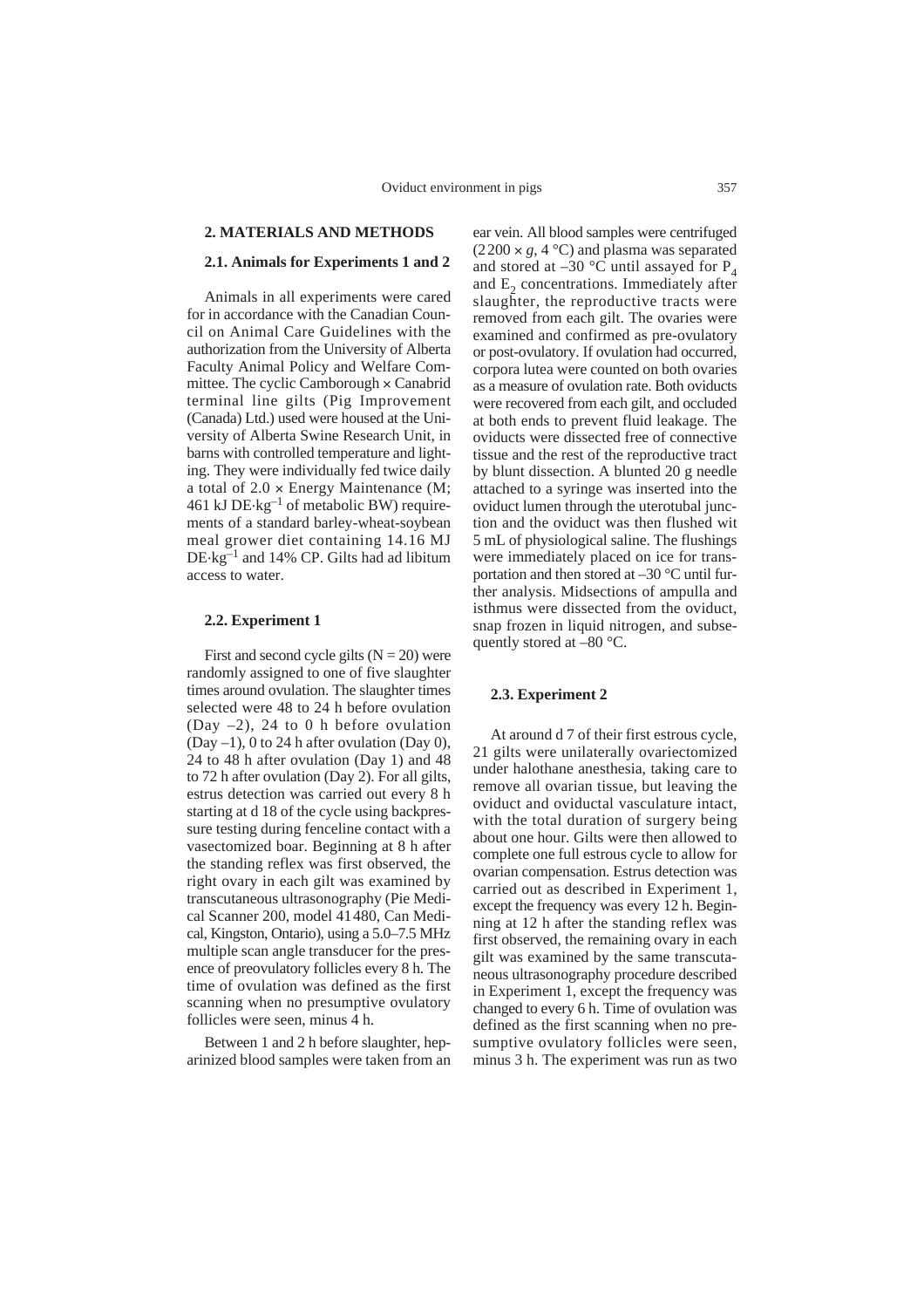## **2. MATERIALS AND METHODS**

## **2.1. Animals for Experiments 1 and 2**

Animals in all experiments were cared for in accordance with the Canadian Council on Animal Care Guidelines with the authorization from the University of Alberta Faculty Animal Policy and Welfare Committee. The cyclic Camborough  $\times$  Canabrid terminal line gilts (Pig Improvement (Canada) Ltd.) used were housed at the University of Alberta Swine Research Unit, in barns with controlled temperature and lighting. They were individually fed twice daily a total of  $2.0 \times$  Energy Maintenance (M; 461 kJ  $DE$ · $kg^{-1}$  of metabolic BW) requirements of a standard barley-wheat-soybean meal grower diet containing 14.16 MJ DE.kg–1 and 14% CP. Gilts had ad libitum access to water.

## **2.2. Experiment 1**

First and second cycle gilts  $(N = 20)$  were randomly assigned to one of five slaughter times around ovulation. The slaughter times selected were 48 to 24 h before ovulation (Day –2), 24 to 0 h before ovulation (Day  $-1$ ), 0 to 24 h after ovulation (Day 0), 24 to 48 h after ovulation (Day 1) and 48 to 72 h after ovulation (Day 2). For all gilts, estrus detection was carried out every 8 h starting at d 18 of the cycle using backpressure testing during fenceline contact with a vasectomized boar. Beginning at 8 h after the standing reflex was first observed, the right ovary in each gilt was examined by transcutaneous ultrasonography (Pie Medical Scanner 200, model 41480, Can Medical, Kingston, Ontario), using a 5.0–7.5 MHz multiple scan angle transducer for the presence of preovulatory follicles every 8 h. The time of ovulation was defined as the first scanning when no presumptive ovulatory follicles were seen, minus 4 h.

Between 1 and 2 h before slaughter, heparinized blood samples were taken from an ear vein. All blood samples were centrifuged  $(2200 \times g, 4 \degree C)$  and plasma was separated and stored at –30  $\degree$ C until assayed for P<sub>4</sub> and  $E<sub>2</sub>$  concentrations. Immediately after slaughter, the reproductive tracts were removed from each gilt. The ovaries were examined and confirmed as pre-ovulatory or post-ovulatory. If ovulation had occurred, corpora lutea were counted on both ovaries as a measure of ovulation rate. Both oviducts were recovered from each gilt, and occluded at both ends to prevent fluid leakage. The oviducts were dissected free of connective tissue and the rest of the reproductive tract by blunt dissection. A blunted 20 g needle attached to a syringe was inserted into the oviduct lumen through the uterotubal junction and the oviduct was then flushed wit 5 mL of physiological saline. The flushings were immediately placed on ice for transportation and then stored at  $-30$  °C until further analysis. Midsections of ampulla and isthmus were dissected from the oviduct, snap frozen in liquid nitrogen, and subsequently stored at –80 °C.

#### **2.3. Experiment 2**

At around d 7 of their first estrous cycle, 21 gilts were unilaterally ovariectomized under halothane anesthesia, taking care to remove all ovarian tissue, but leaving the oviduct and oviductal vasculature intact, with the total duration of surgery being about one hour. Gilts were then allowed to complete one full estrous cycle to allow for ovarian compensation. Estrus detection was carried out as described in Experiment 1, except the frequency was every 12 h. Beginning at 12 h after the standing reflex was first observed, the remaining ovary in each gilt was examined by the same transcutaneous ultrasonography procedure described in Experiment 1, except the frequency was changed to every 6 h. Time of ovulation was defined as the first scanning when no presumptive ovulatory follicles were seen, minus 3 h. The experiment was run as two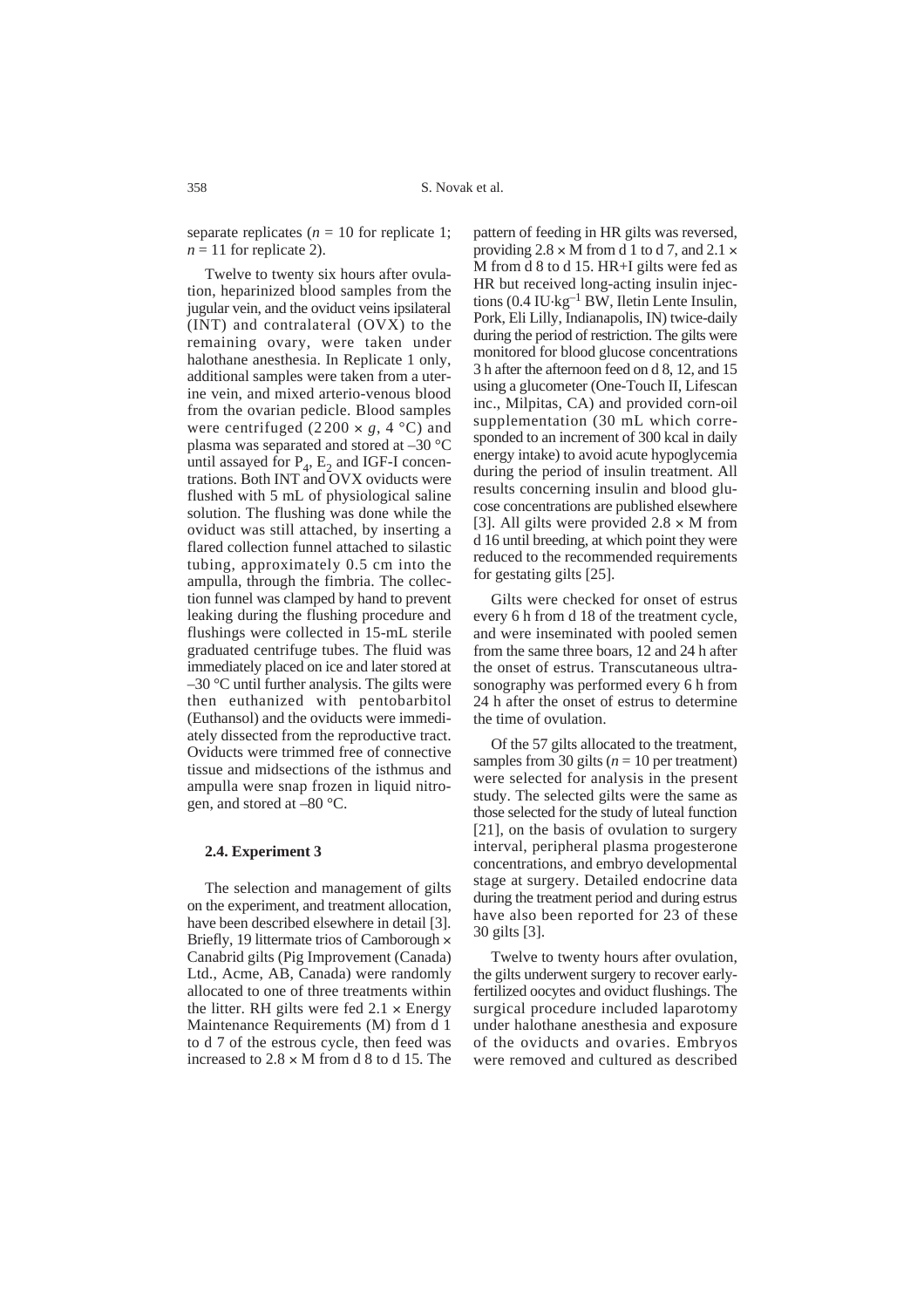separate replicates ( $n = 10$  for replicate 1;  $n = 11$  for replicate 2).

Twelve to twenty six hours after ovulation, heparinized blood samples from the jugular vein, and the oviduct veins ipsilateral (INT) and contralateral (OVX) to the remaining ovary, were taken under halothane anesthesia. In Replicate 1 only, additional samples were taken from a uterine vein, and mixed arterio-venous blood from the ovarian pedicle. Blood samples were centrifuged (2200  $\times$  *g*, 4 °C) and plasma was separated and stored at –30 °C until assayed for  $P_4$ ,  $E_2$  and IGF-I concentrations. Both INT and OVX oviducts were flushed with 5 mL of physiological saline solution. The flushing was done while the oviduct was still attached, by inserting a flared collection funnel attached to silastic tubing, approximately 0.5 cm into the ampulla, through the fimbria. The collection funnel was clamped by hand to prevent leaking during the flushing procedure and flushings were collected in 15-mL sterile graduated centrifuge tubes. The fluid was immediately placed on ice and later stored at  $-30$  °C until further analysis. The gilts were then euthanized with pentobarbitol (Euthansol) and the oviducts were immediately dissected from the reproductive tract. Oviducts were trimmed free of connective tissue and midsections of the isthmus and ampulla were snap frozen in liquid nitrogen, and stored at –80 °C.

#### **2.4. Experiment 3**

The selection and management of gilts on the experiment, and treatment allocation, have been described elsewhere in detail [3]. Briefly, 19 littermate trios of Camborough  $\times$ Canabrid gilts (Pig Improvement (Canada) Ltd., Acme, AB, Canada) were randomly allocated to one of three treatments within the litter. RH gilts were fed  $2.1 \times$  Energy Maintenance Requirements (M) from d 1 to d 7 of the estrous cycle, then feed was increased to  $2.8 \times M$  from d 8 to d 15. The pattern of feeding in HR gilts was reversed, providing  $2.8 \times M$  from d 1 to d 7, and  $2.1 \times$ M from d 8 to d 15. HR+I gilts were fed as HR but received long-acting insulin injections  $(0.4 \text{ IU·kg}^{-1} \text{ BW},$  Iletin Lente Insulin, Pork, Eli Lilly, Indianapolis, IN) twice-daily during the period of restriction. The gilts were monitored for blood glucose concentrations 3 h after the afternoon feed on d 8, 12, and 15 using a glucometer (One-Touch II, Lifescan inc., Milpitas, CA) and provided corn-oil supplementation (30 mL which corresponded to an increment of 300 kcal in daily energy intake) to avoid acute hypoglycemia during the period of insulin treatment. All results concerning insulin and blood glucose concentrations are published elsewhere [3]. All gilts were provided  $2.8 \times M$  from d 16 until breeding, at which point they were reduced to the recommended requirements for gestating gilts [25].

Gilts were checked for onset of estrus every 6 h from d 18 of the treatment cycle, and were inseminated with pooled semen from the same three boars, 12 and 24 h after the onset of estrus. Transcutaneous ultrasonography was performed every 6 h from 24 h after the onset of estrus to determine the time of ovulation.

Of the 57 gilts allocated to the treatment, samples from 30 gilts  $(n = 10$  per treatment) were selected for analysis in the present study. The selected gilts were the same as those selected for the study of luteal function [21], on the basis of ovulation to surgery interval, peripheral plasma progesterone concentrations, and embryo developmental stage at surgery. Detailed endocrine data during the treatment period and during estrus have also been reported for 23 of these 30 gilts [3].

Twelve to twenty hours after ovulation, the gilts underwent surgery to recover earlyfertilized oocytes and oviduct flushings. The surgical procedure included laparotomy under halothane anesthesia and exposure of the oviducts and ovaries. Embryos were removed and cultured as described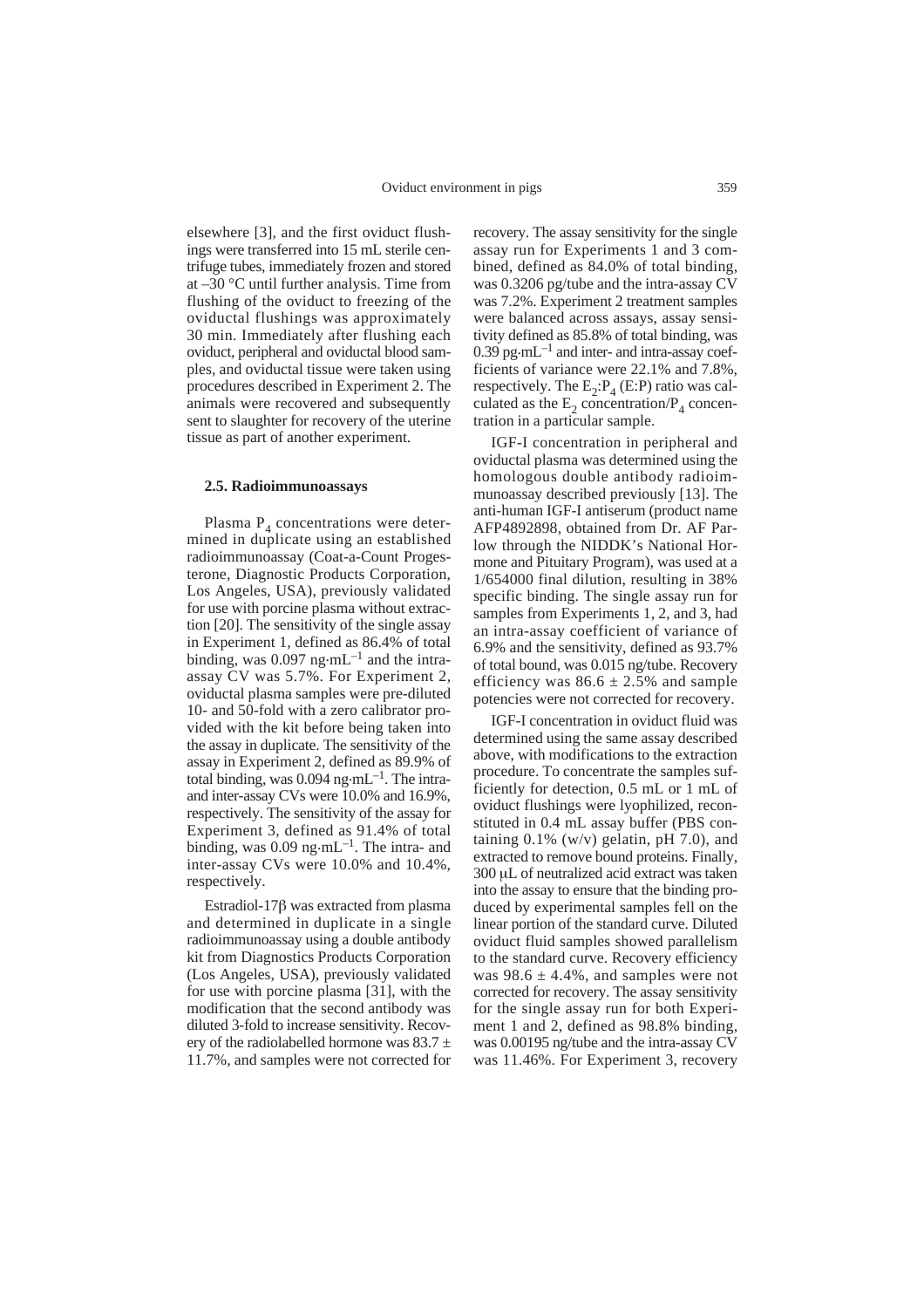elsewhere [3], and the first oviduct flushings were transferred into 15 mL sterile centrifuge tubes, immediately frozen and stored at –30 °C until further analysis. Time from flushing of the oviduct to freezing of the oviductal flushings was approximately 30 min. Immediately after flushing each oviduct, peripheral and oviductal blood samples, and oviductal tissue were taken using procedures described in Experiment 2. The animals were recovered and subsequently sent to slaughter for recovery of the uterine tissue as part of another experiment.

#### **2.5. Radioimmunoassays**

Plasma  $P_4$  concentrations were determined in duplicate using an established radioimmunoassay (Coat-a-Count Progesterone, Diagnostic Products Corporation, Los Angeles, USA), previously validated for use with porcine plasma without extraction [20]. The sensitivity of the single assay in Experiment 1, defined as 86.4% of total binding, was  $0.097$  ng $\cdot$ mL<sup>-1</sup> and the intraassay CV was 5.7%. For Experiment 2, oviductal plasma samples were pre-diluted 10- and 50-fold with a zero calibrator provided with the kit before being taken into the assay in duplicate. The sensitivity of the assay in Experiment 2, defined as 89.9% of total binding, was  $0.094$  ng $\cdot$ mL<sup>-1</sup>. The intraand inter-assay CVs were 10.0% and 16.9%, respectively. The sensitivity of the assay for Experiment 3, defined as 91.4% of total binding, was  $0.09$  ng $\cdot$ mL<sup>-1</sup>. The intra- and inter-assay CVs were 10.0% and 10.4%, respectively.

Estradiol-17 $\beta$  was extracted from plasma and determined in duplicate in a single radioimmunoassay using a double antibody kit from Diagnostics Products Corporation (Los Angeles, USA), previously validated for use with porcine plasma [31], with the modification that the second antibody was diluted 3-fold to increase sensitivity. Recovery of the radiolabelled hormone was  $83.7 \pm$ 11.7%, and samples were not corrected for

recovery. The assay sensitivity for the single assay run for Experiments 1 and 3 combined, defined as 84.0% of total binding, was 0.3206 pg/tube and the intra-assay CV was 7.2%. Experiment 2 treatment samples were balanced across assays, assay sensitivity defined as 85.8% of total binding, was  $0.39$  pg $\cdot$ mL<sup>-1</sup> and inter- and intra-assay coefficients of variance were 22.1% and 7.8%, respectively. The  $E_2$ :  $P_4$  (E: P) ratio was calculated as the  $E_2$  concentration/ $P_4$  concentration in a particular sample.

IGF-I concentration in peripheral and oviductal plasma was determined using the homologous double antibody radioimmunoassay described previously [13]. The anti-human IGF-I antiserum (product name AFP4892898, obtained from Dr. AF Parlow through the NIDDK's National Hormone and Pituitary Program), was used at a 1/654000 final dilution, resulting in 38% specific binding. The single assay run for samples from Experiments 1, 2, and 3, had an intra-assay coefficient of variance of 6.9% and the sensitivity, defined as 93.7% of total bound, was 0.015 ng/tube. Recovery efficiency was  $86.6 \pm 2.5\%$  and sample potencies were not corrected for recovery.

IGF-I concentration in oviduct fluid was determined using the same assay described above, with modifications to the extraction procedure. To concentrate the samples sufficiently for detection, 0.5 mL or 1 mL of oviduct flushings were lyophilized, reconstituted in 0.4 mL assay buffer (PBS containing  $0.1\%$  (w/v) gelatin, pH 7.0), and extracted to remove bound proteins. Finally, 300 µL of neutralized acid extract was taken into the assay to ensure that the binding produced by experimental samples fell on the linear portion of the standard curve. Diluted oviduct fluid samples showed parallelism to the standard curve. Recovery efficiency was  $98.6 \pm 4.4\%$ , and samples were not corrected for recovery. The assay sensitivity for the single assay run for both Experiment 1 and 2, defined as 98.8% binding, was 0.00195 ng/tube and the intra-assay CV was 11.46%. For Experiment 3, recovery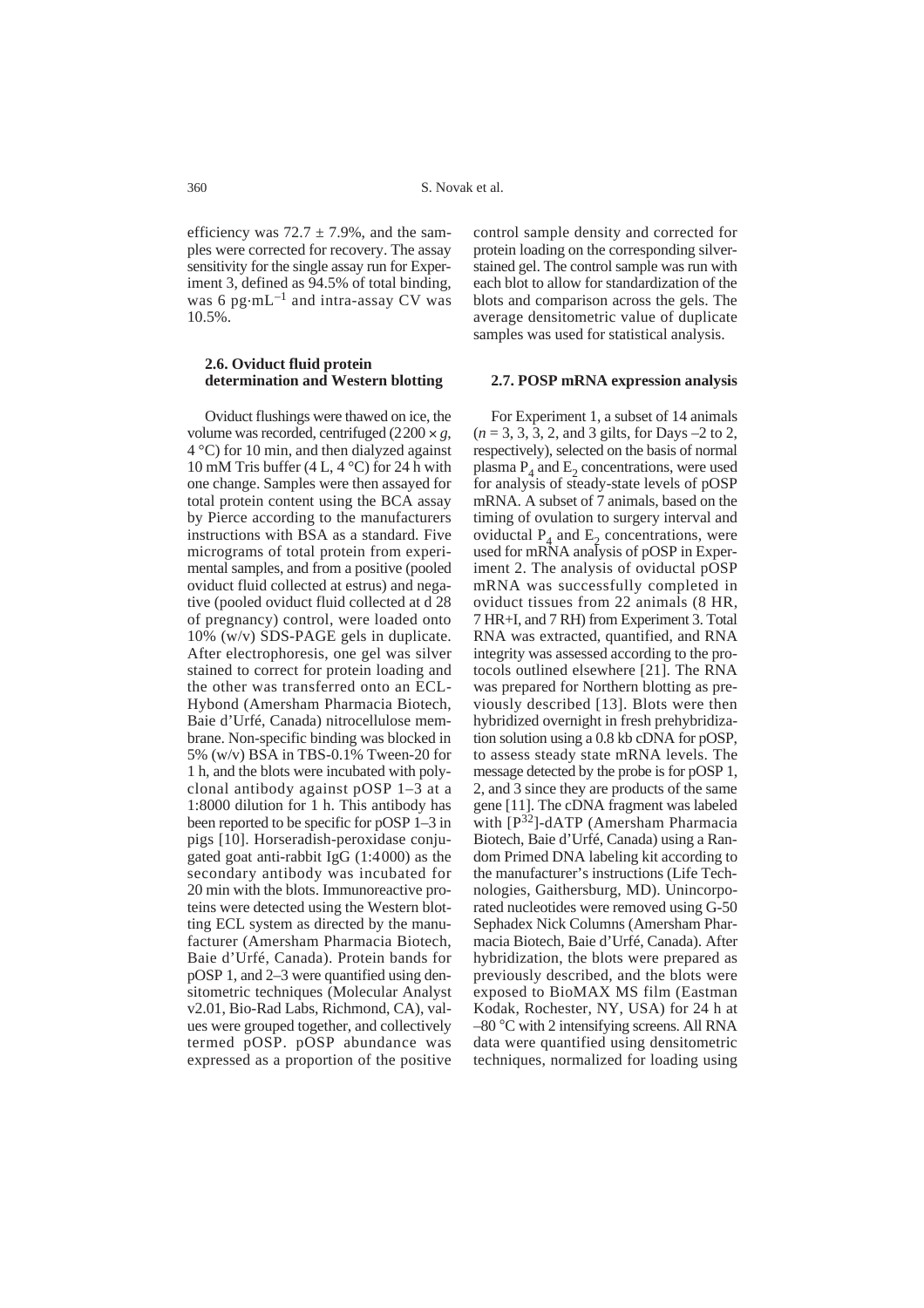efficiency was  $72.7 \pm 7.9\%$ , and the samples were corrected for recovery. The assay sensitivity for the single assay run for Experiment 3, defined as 94.5% of total binding, was 6 pg $\cdot$ mL<sup>-1</sup> and intra-assay CV was 10.5%.

## **2.6. Oviduct fluid protein determination and Western blotting**

Oviduct flushings were thawed on ice, the volume was recorded, centrifuged  $(2200 \times g,$ 4 °C) for 10 min, and then dialyzed against 10 mM Tris buffer (4 L, 4  $^{\circ}$ C) for 24 h with one change. Samples were then assayed for total protein content using the BCA assay by Pierce according to the manufacturers instructions with BSA as a standard. Five micrograms of total protein from experimental samples, and from a positive (pooled oviduct fluid collected at estrus) and negative (pooled oviduct fluid collected at d 28 of pregnancy) control, were loaded onto 10% (w/v) SDS-PAGE gels in duplicate. After electrophoresis, one gel was silver stained to correct for protein loading and the other was transferred onto an ECL-Hybond (Amersham Pharmacia Biotech, Baie d'Urfé, Canada) nitrocellulose membrane. Non-specific binding was blocked in 5% (w/v) BSA in TBS-0.1% Tween-20 for 1 h, and the blots were incubated with polyclonal antibody against pOSP 1–3 at a 1:8000 dilution for 1 h. This antibody has been reported to be specific for pOSP 1–3 in pigs [10]. Horseradish-peroxidase conjugated goat anti-rabbit IgG (1:4000) as the secondary antibody was incubated for 20 min with the blots. Immunoreactive proteins were detected using the Western blotting ECL system as directed by the manufacturer (Amersham Pharmacia Biotech, Baie d'Urfé, Canada). Protein bands for pOSP 1, and 2–3 were quantified using densitometric techniques (Molecular Analyst v2.01, Bio-Rad Labs, Richmond, CA), values were grouped together, and collectively termed pOSP. pOSP abundance was expressed as a proportion of the positive

control sample density and corrected for protein loading on the corresponding silverstained gel. The control sample was run with each blot to allow for standardization of the blots and comparison across the gels. The average densitometric value of duplicate samples was used for statistical analysis.

#### **2.7. POSP mRNA expression analysis**

For Experiment 1, a subset of 14 animals (*n* = 3, 3, 3, 2, and 3 gilts, for Days –2 to 2, respectively), selected on the basis of normal plasma  $P_4$  and  $E_2$  concentrations, were used for analysis of steady-state levels of pOSP mRNA. A subset of 7 animals, based on the timing of ovulation to surgery interval and oviductal  $P_4$  and  $E_2$  concentrations, were used for mRNA analysis of pOSP in Experiment 2. The analysis of oviductal pOSP mRNA was successfully completed in oviduct tissues from 22 animals (8 HR, 7 HR+I, and 7 RH) from Experiment 3. Total RNA was extracted, quantified, and RNA integrity was assessed according to the protocols outlined elsewhere [21]. The RNA was prepared for Northern blotting as previously described [13]. Blots were then hybridized overnight in fresh prehybridization solution using a 0.8 kb cDNA for pOSP, to assess steady state mRNA levels. The message detected by the probe is for pOSP 1, 2, and 3 since they are products of the same gene [11]. The cDNA fragment was labeled with [P32]-dATP (Amersham Pharmacia Biotech, Baie d'Urfé, Canada) using a Random Primed DNA labeling kit according to the manufacturer's instructions (Life Technologies, Gaithersburg, MD). Unincorporated nucleotides were removed using G-50 Sephadex Nick Columns (Amersham Pharmacia Biotech, Baie d'Urfé, Canada). After hybridization, the blots were prepared as previously described, and the blots were exposed to BioMAX MS film (Eastman Kodak, Rochester, NY, USA) for 24 h at –80 °C with 2 intensifying screens. All RNA data were quantified using densitometric techniques, normalized for loading using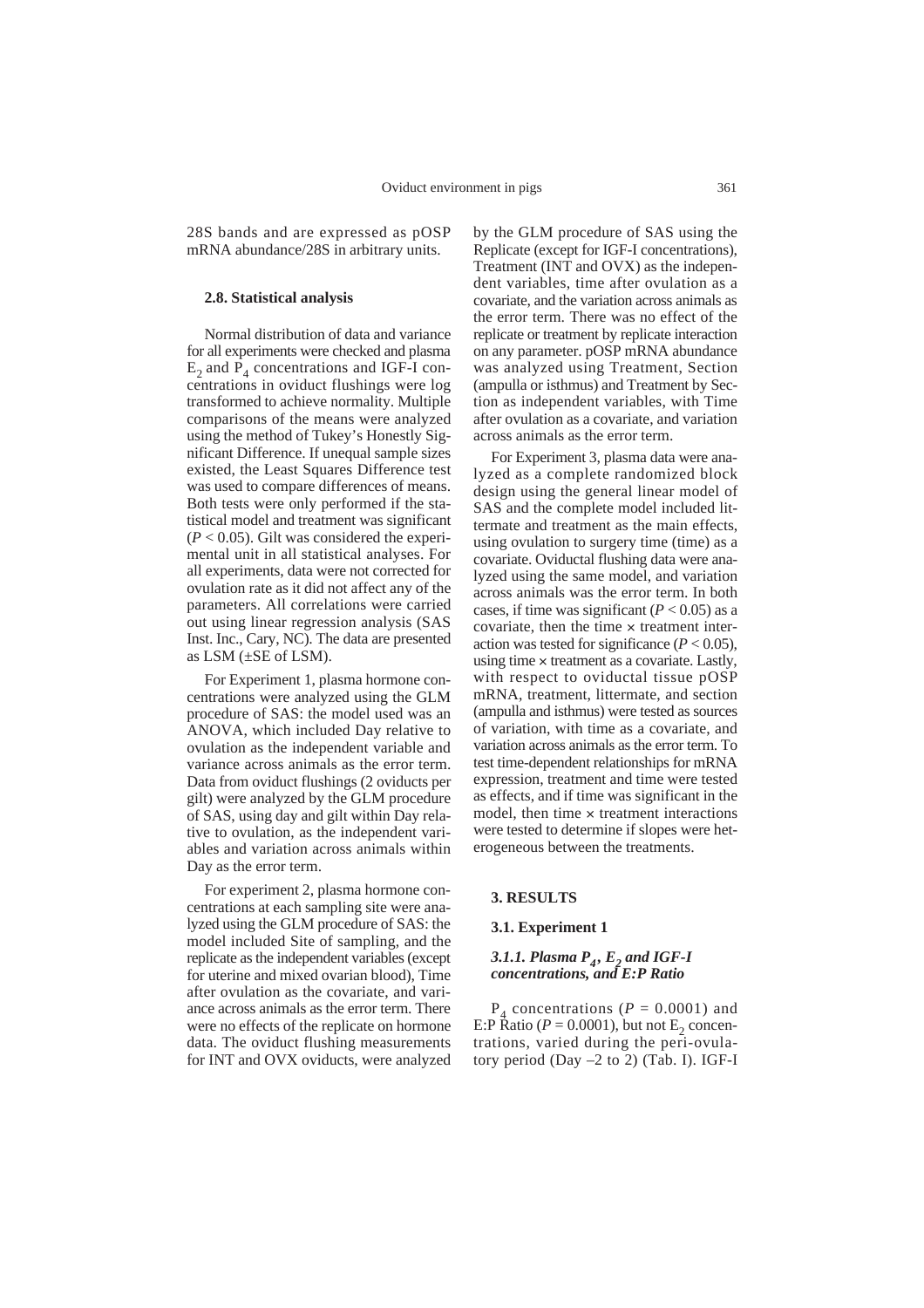28S bands and are expressed as pOSP mRNA abundance/28S in arbitrary units.

## **2.8. Statistical analysis**

Normal distribution of data and variance for all experiments were checked and plasma  $E_2$  and  $P_4$  concentrations and IGF-I concentrations in oviduct flushings were log transformed to achieve normality. Multiple comparisons of the means were analyzed using the method of Tukey's Honestly Significant Difference. If unequal sample sizes existed, the Least Squares Difference test was used to compare differences of means. Both tests were only performed if the statistical model and treatment was significant  $(P < 0.05)$ . Gilt was considered the experimental unit in all statistical analyses. For all experiments, data were not corrected for ovulation rate as it did not affect any of the parameters. All correlations were carried out using linear regression analysis (SAS Inst. Inc., Cary, NC). The data are presented as LSM  $(\pm$ SE of LSM).

For Experiment 1, plasma hormone concentrations were analyzed using the GLM procedure of SAS: the model used was an ANOVA, which included Day relative to ovulation as the independent variable and variance across animals as the error term. Data from oviduct flushings (2 oviducts per gilt) were analyzed by the GLM procedure of SAS, using day and gilt within Day relative to ovulation, as the independent variables and variation across animals within Day as the error term.

For experiment 2, plasma hormone concentrations at each sampling site were analyzed using the GLM procedure of SAS: the model included Site of sampling, and the replicate as the independent variables (except for uterine and mixed ovarian blood), Time after ovulation as the covariate, and variance across animals as the error term. There were no effects of the replicate on hormone data. The oviduct flushing measurements for INT and OVX oviducts, were analyzed

by the GLM procedure of SAS using the Replicate (except for IGF-I concentrations), Treatment (INT and OVX) as the independent variables, time after ovulation as a covariate, and the variation across animals as the error term. There was no effect of the replicate or treatment by replicate interaction on any parameter. pOSP mRNA abundance was analyzed using Treatment, Section (ampulla or isthmus) and Treatment by Section as independent variables, with Time after ovulation as a covariate, and variation across animals as the error term.

For Experiment 3, plasma data were analyzed as a complete randomized block design using the general linear model of SAS and the complete model included littermate and treatment as the main effects, using ovulation to surgery time (time) as a covariate. Oviductal flushing data were analyzed using the same model, and variation across animals was the error term. In both cases, if time was significant  $(P < 0.05)$  as a covariate, then the time  $\times$  treatment interaction was tested for significance  $(P < 0.05)$ , using time  $\times$  treatment as a covariate. Lastly, with respect to oviductal tissue pOSP mRNA, treatment, littermate, and section (ampulla and isthmus) were tested as sources of variation, with time as a covariate, and variation across animals as the error term. To test time-dependent relationships for mRNA expression, treatment and time were tested as effects, and if time was significant in the model, then time  $\times$  treatment interactions were tested to determine if slopes were heterogeneous between the treatments.

## **3. RESULTS**

## **3.1. Experiment 1**

## *3.1.1. Plasma P<sub>4</sub>, E<sub>2</sub> and IGF-I concentrations, and E:P Ratio*

 $P_4$  concentrations ( $P = 0.0001$ ) and E:P Ratio ( $P = 0.0001$ ), but not E<sub>2</sub> concentrations, varied during the peri-ovulatory period (Day –2 to 2) (Tab. I). IGF-I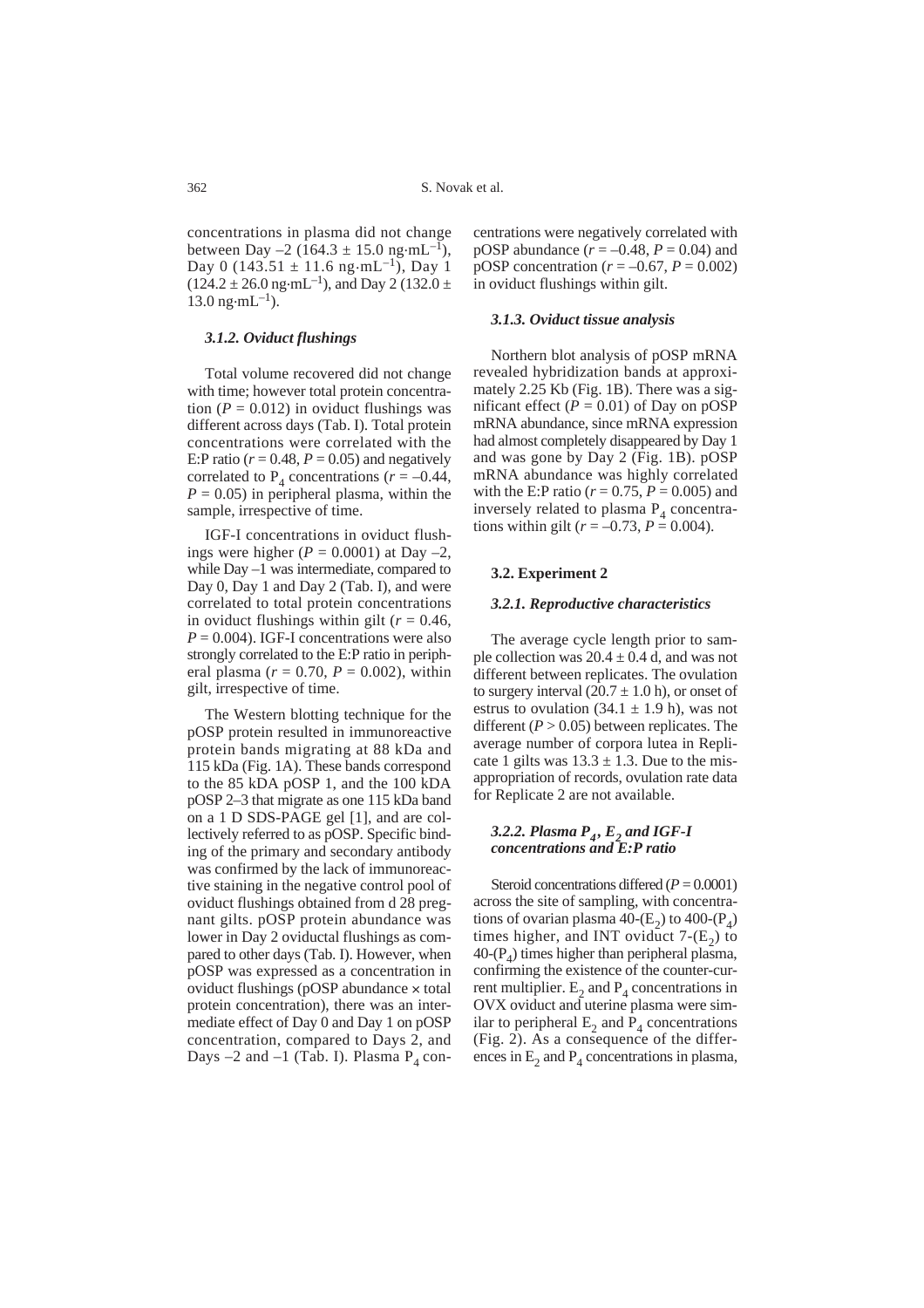concentrations in plasma did not change between Day –2 (164.3  $\pm$  15.0 ng·mL<sup>-1</sup>), Day 0 (143.51  $\pm$  11.6 ng·mL<sup>-1</sup>), Day 1  $(124.2 \pm 26.0 \text{ ng} \cdot \text{mL}^{-1})$ , and Day 2 (132.0  $\pm$  $13.0 \text{ ng} \cdot \text{m} \text{L}^{-1}$ ).

### *3.1.2. Oviduct flushings*

Total volume recovered did not change with time; however total protein concentration ( $P = 0.012$ ) in oviduct flushings was different across days (Tab. I). Total protein concentrations were correlated with the E:P ratio ( $r = 0.48$ ,  $P = 0.05$ ) and negatively correlated to  $P_4$  concentrations ( $r = -0.44$ ,  $P = 0.05$ ) in peripheral plasma, within the sample, irrespective of time.

IGF-I concentrations in oviduct flushings were higher  $(P = 0.0001)$  at Day  $-2$ , while Day –1 was intermediate, compared to Day 0, Day 1 and Day 2 (Tab. I), and were correlated to total protein concentrations in oviduct flushings within gilt ( $r = 0.46$ ,  $P = 0.004$ ). IGF-I concentrations were also strongly correlated to the E:P ratio in peripheral plasma ( $r = 0.70$ ,  $P = 0.002$ ), within gilt, irrespective of time.

The Western blotting technique for the pOSP protein resulted in immunoreactive protein bands migrating at 88 kDa and 115 kDa (Fig. 1A). These bands correspond to the 85 kDA pOSP 1, and the 100 kDA pOSP 2–3 that migrate as one 115 kDa band on a 1 D SDS-PAGE gel [1], and are collectively referred to as pOSP. Specific binding of the primary and secondary antibody was confirmed by the lack of immunoreactive staining in the negative control pool of oviduct flushings obtained from d 28 pregnant gilts. pOSP protein abundance was lower in Day 2 oviductal flushings as compared to other days (Tab. I). However, when pOSP was expressed as a concentration in oviduct flushings ( $p$ OSP abundance  $\times$  total protein concentration), there was an intermediate effect of Day 0 and Day 1 on pOSP concentration, compared to Days 2, and Days  $-2$  and  $-1$  (Tab. I). Plasma  $P_4$  concentrations were negatively correlated with pOSP abundance  $(r = -0.48, P = 0.04)$  and  $p$ OSP concentration ( $r = -0.67$ ,  $P = 0.002$ ) in oviduct flushings within gilt.

#### *3.1.3. Oviduct tissue analysis*

Northern blot analysis of pOSP mRNA revealed hybridization bands at approximately 2.25 Kb (Fig. 1B). There was a significant effect  $(P = 0.01)$  of Day on pOSP mRNA abundance, since mRNA expression had almost completely disappeared by Day 1 and was gone by Day 2 (Fig. 1B). pOSP mRNA abundance was highly correlated with the E:P ratio ( $r = 0.75$ ,  $P = 0.005$ ) and inversely related to plasma  $P_4$  concentrations within gilt ( $r = -0.73$ ,  $P = 0.004$ ).

#### **3.2. Experiment 2**

#### *3.2.1. Reproductive characteristics*

The average cycle length prior to sample collection was  $20.4 \pm 0.4$  d, and was not different between replicates. The ovulation to surgery interval  $(20.7 \pm 1.0 \text{ h})$ , or onset of estrus to ovulation  $(34.1 \pm 1.9 \text{ h})$ , was not different  $(P > 0.05)$  between replicates. The average number of corpora lutea in Replicate 1 gilts was  $13.3 \pm 1.3$ . Due to the misappropriation of records, ovulation rate data for Replicate 2 are not available.

### *3.2.2. Plasma P<sub>4</sub>, E<sub>2</sub> and IGF-I concentrations and E:P ratio*

Steroid concentrations differed (*P* = 0.0001) across the site of sampling, with concentrations of ovarian plasma 40- $(E_2)$  to 400- $(P_4)$ times higher, and INT oviduct  $7-(E_2)$  to  $40-(P_4)$  times higher than peripheral plasma, confirming the existence of the counter-current multiplier.  $E_2$  and  $P_4$  concentrations in OVX oviduct and uterine plasma were similar to peripheral  $E_2$  and  $P_4$  concentrations (Fig. 2). As a consequence of the differences in  $E_2$  and  $P_4$  concentrations in plasma,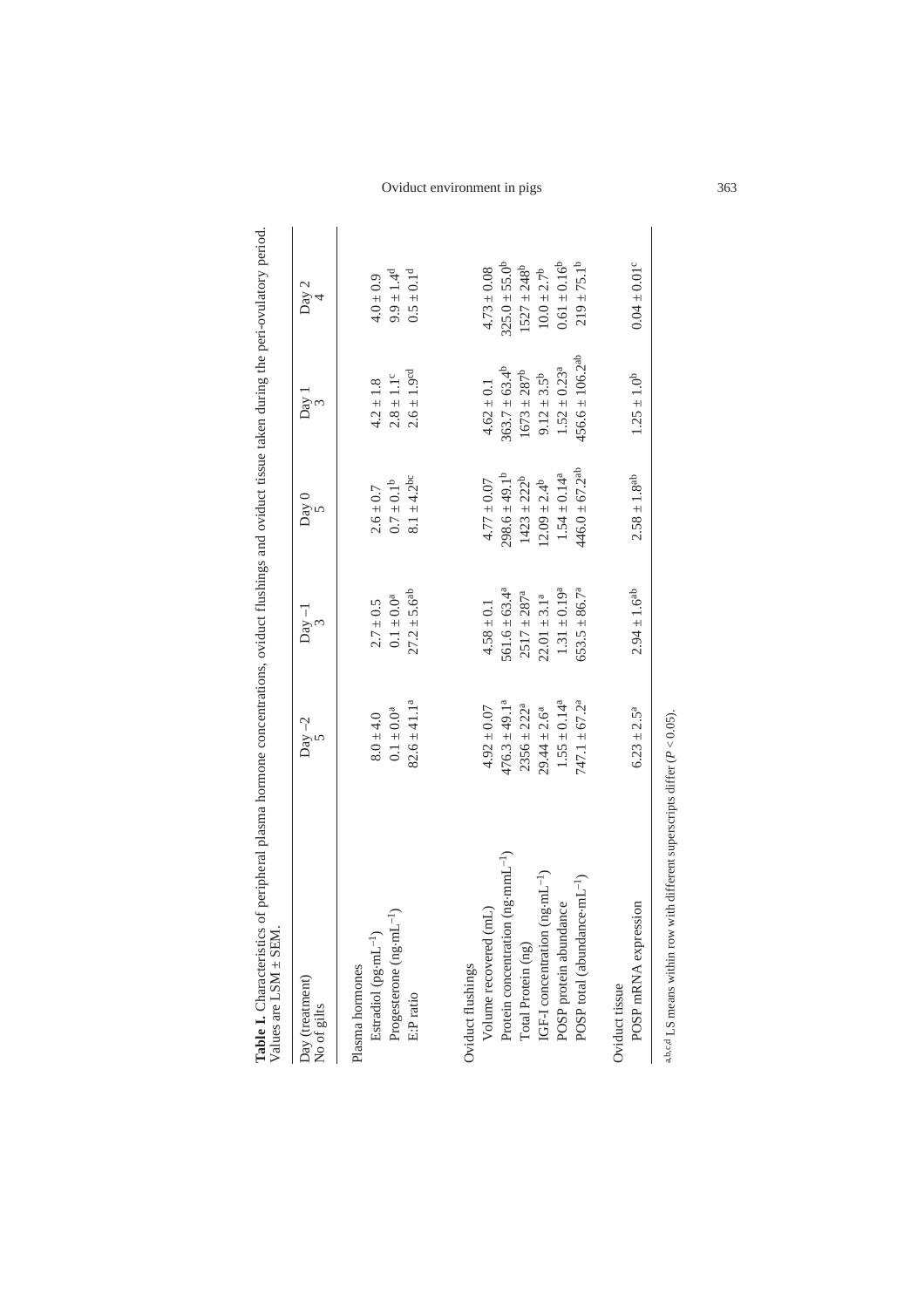| Table I. Characteristics of peripheral plasma hormone concentrations, oviduct flushings and oviduct tissue taken during the peri-ovulatory period.<br>Values are LSM ± SEM |                                      |                                        |                                                                                                            |                                                           |                                      |
|----------------------------------------------------------------------------------------------------------------------------------------------------------------------------|--------------------------------------|----------------------------------------|------------------------------------------------------------------------------------------------------------|-----------------------------------------------------------|--------------------------------------|
| Day (treatment)<br>No of gilts                                                                                                                                             | $Day -2$                             | $Day -1$                               | $\begin{matrix} \nabla \cdot \mathbf{0} & \mathbf{0} \\ \nabla \cdot \mathbf{0} & \mathbf{0} \end{matrix}$ | $\log$ 1                                                  | Day 2                                |
| Estradiol (pg-mL <sup>-1</sup> )<br>Plasma hormones                                                                                                                        | $8.0 \pm 4.0$                        | $2.7 \pm 0.5$                          | $2.6 \pm 0.7$                                                                                              | $4.2 \pm 1.8$                                             | $4.0 \pm 0.9$                        |
| Progesterone (ng-mL<br>E:Pratio                                                                                                                                            | $82.6 \pm 41.1^a$<br>$0.1 \pm 0.0^a$ | $27.2 \pm 5.6^{ab}$<br>$0.1 \pm 0.0^a$ | $8.1 \pm 4.2^{\circ}$<br>$0.7 \pm 0.1$ <sup>b</sup>                                                        | $2.6 \pm 1.9$ <sup>cd</sup><br>$2.8 \pm 1.1$ <sup>c</sup> | $9.9 \pm 1.4^{d}$<br>$0.5 \pm 0.1^d$ |
| Oviduct flushings                                                                                                                                                          |                                      |                                        |                                                                                                            |                                                           |                                      |
| Volume recovered (mL)                                                                                                                                                      | $4.92 \pm 0.07$                      | $4.58 \pm 0.1$                         | $4.77 \pm 0.07$                                                                                            | $4.62 \pm 0.1$                                            | $4.73 \pm 0.08$                      |
| $(ng\cdot mmL^{-1})$<br>Protein concentration                                                                                                                              | $476.3 \pm 49.1^a$                   | $561.6 \pm 63.4^a$                     | $298.6 \pm 49.1^b$                                                                                         | $363.7 \pm 63.4^b$                                        | $325.0 \pm 55.0^b$                   |
| Total Protein (ng)                                                                                                                                                         | $2356 \pm 222^a$                     | $2517 \pm 287^a$                       | $1423 \pm 222^b$                                                                                           | $1673 \pm 287^b$                                          | $1527 \pm 248^b$                     |
| IGF-I concentration (ng·mL <sup>-1</sup> )                                                                                                                                 | $29.44 \pm 2.6^a$                    | $22.01 \pm 3.1^a$                      | $12.09 \pm 2.4^b$                                                                                          | $9.12 \pm 3.5^b$                                          | $10.0 \pm 2.7^b$                     |
| POSP protein abundance                                                                                                                                                     | $1.55 \pm 0.14^a$                    | $1.31 \pm 0.19^a$                      | $1.54 \pm 0.14^a$                                                                                          | $1.52 \pm 0.23^a$                                         | $0.61 \pm 0.16^b$                    |
| POSP total (abundance-mL <sup>-1</sup> )                                                                                                                                   | $747.1 \pm 67.2^a$                   | $653.5 \pm 86.7^a$                     | $446.0 \pm 67.2$ <sup>ab</sup>                                                                             | $456.6 \pm 106.2^{ab}$                                    | $219 \pm 75.1^b$                     |
| a,b,c,d LS means within row with different superscripts differ ( $P < 0.05$ ).<br>POSP mRNA expression<br>Oviduct tissue                                                   | $6.23 \pm 2.5^a$                     | $2.94 \pm 1.6^{ab}$                    | $2.58 \pm 1.8^{ab}$                                                                                        | $1.25 \pm 1.0^b$                                          | $0.04 \pm 0.01$ <sup>c</sup>         |
|                                                                                                                                                                            |                                      |                                        |                                                                                                            |                                                           |                                      |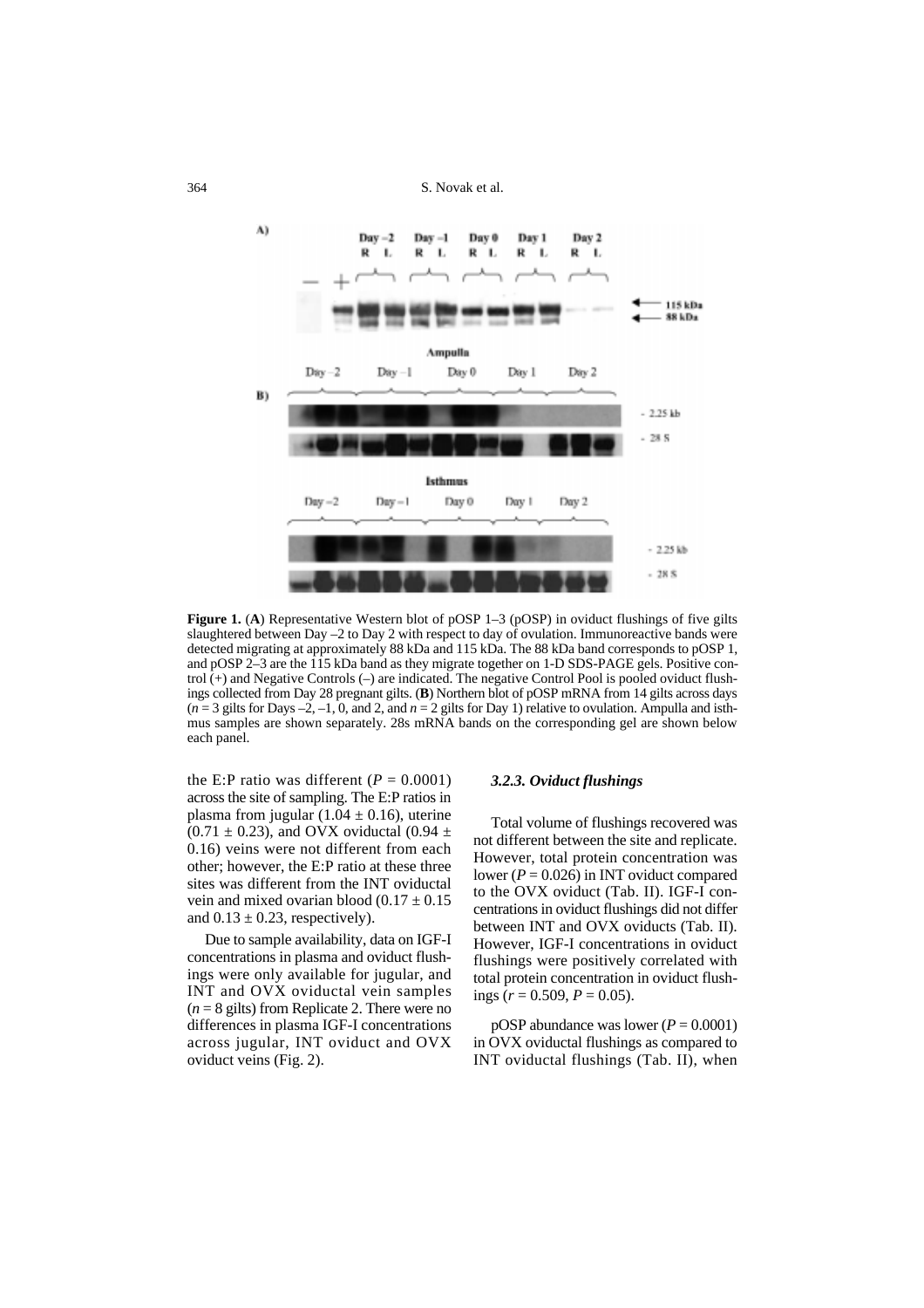S. Novak et al.



**Figure 1. (A) Representative Western blot of pOSP 1–3 (pOSP) in oviduct flushings of five gilts** slaughtered between Day –2 to Day 2 with respect to day of ovulation. Immunoreactive bands were detected migrating at approximately 88 kDa and 115 kDa. The 88 kDa band corresponds to pOSP 1, and pOSP 2–3 are the 115 kDa band as they migrate together on 1-D SDS-PAGE gels. Positive control (+) and Negative Controls (–) are indicated. The negative Control Pool is pooled oviduct flushings collected from Day 28 pregnant gilts. (**B**) Northern blot of pOSP mRNA from 14 gilts across days  $(n=3$  gilts for Days –2, –1, 0, and 2, and  $n=2$  gilts for Day 1) relative to ovulation. Ampulla and isthmus samples are shown separately. 28s mRNA bands on the corresponding gel are shown below each panel.

the E:P ratio was different  $(P = 0.0001)$ across the site of sampling. The E:P ratios in plasma from jugular  $(1.04 \pm 0.16)$ , uterine  $(0.71 \pm 0.23)$ , and OVX oviductal  $(0.94 \pm 0.23)$ 0.16) veins were not different from each other; however, the E:P ratio at these three sites was different from the INT oviductal vein and mixed ovarian blood  $(0.17 \pm 0.15)$ and  $0.13 \pm 0.23$ , respectively).

Due to sample availability, data on IGF-I concentrations in plasma and oviduct flushings were only available for jugular, and INT and OVX oviductal vein samples  $(n = 8$  gilts) from Replicate 2. There were no differences in plasma IGF-I concentrations across jugular, INT oviduct and OVX oviduct veins (Fig. 2).

#### *3.2.3. Oviduct flushings*

Total volume of flushings recovered was not different between the site and replicate. However, total protein concentration was lower ( $P = 0.026$ ) in INT oviduct compared to the OVX oviduct (Tab. II). IGF-I concentrations in oviduct flushings did not differ between INT and OVX oviducts (Tab. II). However, IGF-I concentrations in oviduct flushings were positively correlated with total protein concentration in oviduct flushings  $(r = 0.509, P = 0.05)$ .

pOSP abundance was lower  $(P = 0.0001)$ in OVX oviductal flushings as compared to INT oviductal flushings (Tab. II), when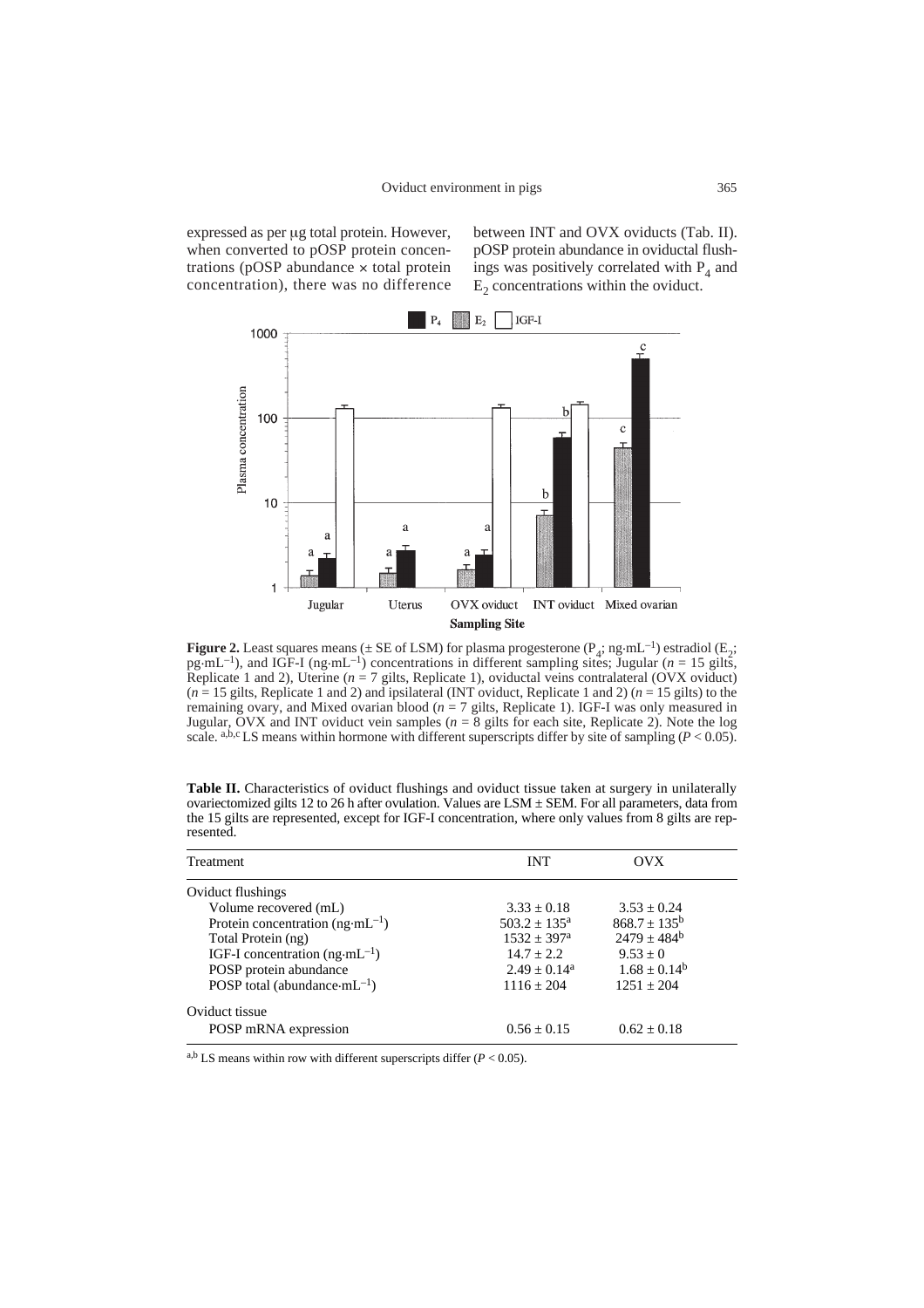expressed as per µg total protein. However, when converted to pOSP protein concentrations (pOSP abundance  $\times$  total protein concentration), there was no difference between INT and OVX oviducts (Tab. II). pOSP protein abundance in oviductal flushings was positively correlated with  $P_4$  and  $E<sub>2</sub>$  concentrations within the oviduct.



**Figure 2.** Least squares means ( $\pm$  SE of LSM) for plasma progesterone ( $P_4$ ; ng·mL<sup>-1</sup>) estradiol ( $E_2$ ; pg·mL<sup>-1</sup>), and IGF-I (ng·mL<sup>-1</sup>) concentrations in different sampling sites; Jugular (*n* = 15 gilts, Replicate 1 and 2), Uterine  $(n = 7$  gilts, Replicate 1), oviductal veins contralateral (OVX oviduct)  $(n = 15 \text{ girls}, \text{Replicate 1 and 2})$  and ipsilateral (INT oviduct, Replicate 1 and 2)  $(n = 15 \text{ girls})$  to the remaining ovary, and Mixed ovarian blood  $(n = 7$  gilts, Replicate 1). IGF-I was only measured in Jugular, OVX and INT oviduct vein samples (*n* = 8 gilts for each site, Replicate 2). Note the log scale. a,b,c LS means within hormone with different superscripts differ by site of sampling ( $P < 0.05$ ).

| <b>Table II.</b> Characteristics of oviduct flushings and oviduct tissue taken at surgery in unilaterally |
|-----------------------------------------------------------------------------------------------------------|
| ovariectomized gilts 12 to 26 h after ovulation. Values are LSM $\pm$ SEM. For all parameters, data from  |
| the 15 gilts are represented, except for IGF-I concentration, where only values from 8 gilts are rep-     |
| resented.                                                                                                 |

| Treatment                                        | <b>INT</b>              | OVX               |  |
|--------------------------------------------------|-------------------------|-------------------|--|
| Oviduct flushings                                |                         |                   |  |
| Volume recovered (mL)                            | $3.33 \pm 0.18$         | $3.53 \pm 0.24$   |  |
| Protein concentration $(ng \cdot mL^{-1})$       | $503.2 \pm 135^{\circ}$ | $868.7 \pm 135^b$ |  |
| Total Protein (ng)                               | $1532 + 397^{\rm a}$    | $2479 + 484^b$    |  |
| IGF-I concentration ( $ng·mL^{-1}$ )             | $14.7 + 2.2$            | $9.53 + 0$        |  |
| POSP protein abundance                           | $2.49 + 0.14^a$         | $1.68 \pm 0.14^b$ |  |
| POSP total (abundance $\cdot$ mL <sup>-1</sup> ) | $1116 + 204$            | $1251 + 204$      |  |
| Oviduct tissue                                   |                         |                   |  |
| POSP mRNA expression                             | $0.56 + 0.15$           | $0.62 + 0.18$     |  |

<sup>a,b</sup> LS means within row with different superscripts differ  $(P < 0.05)$ .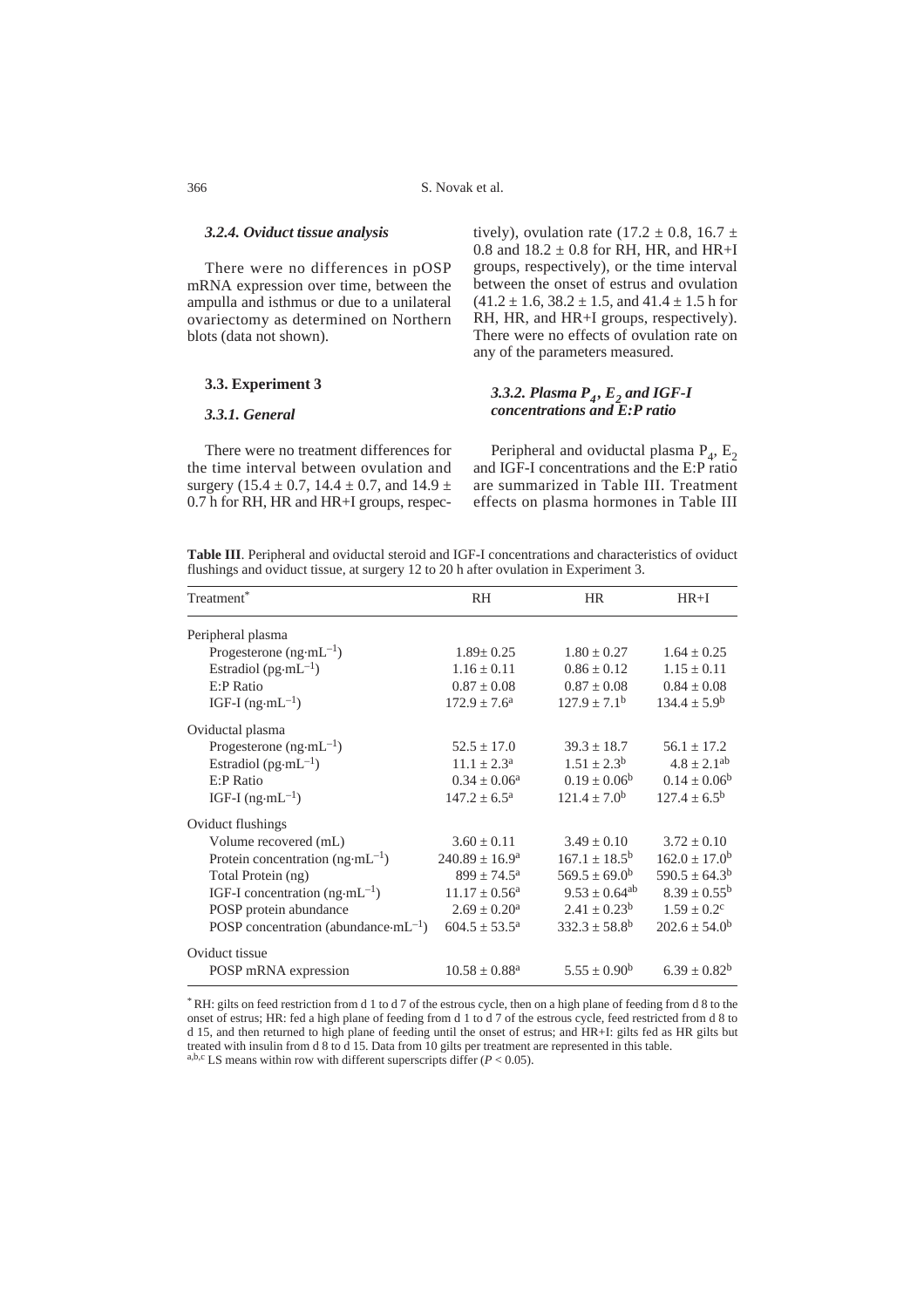#### *3.2.4. Oviduct tissue analysis*

There were no differences in pOSP mRNA expression over time, between the ampulla and isthmus or due to a unilateral ovariectomy as determined on Northern blots (data not shown).

## **3.3. Experiment 3**

## *3.3.1. General*

There were no treatment differences for the time interval between ovulation and surgery (15.4  $\pm$  0.7, 14.4  $\pm$  0.7, and 14.9  $\pm$ 0.7 h for RH, HR and HR+I groups, respectively), ovulation rate (17.2  $\pm$  0.8, 16.7  $\pm$ 0.8 and  $18.2 \pm 0.8$  for RH, HR, and HR+I groups, respectively), or the time interval between the onset of estrus and ovulation  $(41.2 \pm 1.6, 38.2 \pm 1.5, \text{ and } 41.4 \pm 1.5 \text{ h for})$ RH, HR, and HR+I groups, respectively). There were no effects of ovulation rate on any of the parameters measured.

## *3.3.2. Plasma P4 , E2 and IGF-I concentrations and E:P ratio*

Peripheral and oviductal plasma  $P_4$ ,  $E_2$ and IGF-I concentrations and the E:P ratio are summarized in Table III. Treatment effects on plasma hormones in Table III

**Table III**. Peripheral and oviductal steroid and IGF-I concentrations and characteristics of oviduct flushings and oviduct tissue, at surgery 12 to 20 h after ovulation in Experiment 3.

| Treatment <sup>*</sup>                                   | <b>RH</b>                   | <b>HR</b>                | $HR+I$                   |
|----------------------------------------------------------|-----------------------------|--------------------------|--------------------------|
| Peripheral plasma                                        |                             |                          |                          |
| Progesterone $(ng \cdot mL^{-1})$                        | $1.89 \pm 0.25$             | $1.80 \pm 0.27$          | $1.64 + 0.25$            |
| Estradiol ( $pg\cdot mL^{-1}$ )                          | $1.16 \pm 0.11$             | $0.86 \pm 0.12$          | $1.15 \pm 0.11$          |
| $E$ : P Ratio                                            | $0.87 \pm 0.08$             | $0.87 \pm 0.08$          | $0.84 \pm 0.08$          |
| IGF-I $(ng \cdot mL^{-1})$                               | $172.9 \pm 7.6^{\circ}$     | $127.9 + 7.1b$           | $134.4 \pm 5.9^b$        |
| Oviductal plasma                                         |                             |                          |                          |
| Progesterone $(ng \cdot mL^{-1})$                        | $52.5 \pm 17.0$             | $39.3 \pm 18.7$          | $56.1 \pm 17.2$          |
| Estradiol ( $pg\cdot mL^{-1}$ )                          | $11.1 \pm 2.3^{\text{a}}$   | $1.51 \pm 2.3^b$         | $4.8 \pm 2.1^{ab}$       |
| $E$ : P Ratio                                            | $0.34 \pm 0.06^a$           | $0.19 \pm 0.06^b$        | $0.14 \pm 0.06^b$        |
| IGF-I $(ng \cdot mL^{-1})$                               | $147.2 \pm 6.5^{\text{a}}$  | $121.4 \pm 7.0^b$        | $127.4 \pm 6.5^{\rm b}$  |
| Oviduct flushings                                        |                             |                          |                          |
| Volume recovered (mL)                                    | $3.60 \pm 0.11$             | $3.49 \pm 0.10$          | $3.72 \pm 0.10$          |
| Protein concentration $(ng \cdot mL^{-1})$               | $240.89 \pm 16.9^{\circ}$   | $167.1 \pm 18.5^b$       | $162.0 \pm 17.0^b$       |
| Total Protein (ng)                                       | $899 \pm 74.5^{\rm a}$      | $569.5 \pm 69.0^{\rm b}$ | $590.5 \pm 64.3^{\rm b}$ |
| IGF-I concentration $(ng\cdot mL^{-1})$                  | $11.17 \pm 0.56^{\text{a}}$ | $9.53 \pm 0.64^{ab}$     | $8.39 \pm 0.55^b$        |
| POSP protein abundance                                   | $2.69 \pm 0.20^{\text{a}}$  | $2.41 \pm 0.23^b$        | $1.59 \pm 0.2$ °         |
| POSP concentration (abundance $\cdot$ mL <sup>-1</sup> ) | $604.5 \pm 53.5^{\circ}$    | $332.3 \pm 58.8^{\rm b}$ | $202.6 \pm 54.0^{\rm b}$ |
| Oviduct tissue                                           |                             |                          |                          |
| POSP mRNA expression                                     | $10.58 \pm 0.88^{\text{a}}$ | $5.55 \pm 0.90^{\rm b}$  | $6.39 \pm 0.82^b$        |

\* RH: gilts on feed restriction from d 1 to d 7 of the estrous cycle, then on a high plane of feeding from d 8 to the onset of estrus; HR: fed a high plane of feeding from d 1 to d 7 of the estrous cycle, feed restricted from d 8 to d 15, and then returned to high plane of feeding until the onset of estrus; and HR+I: gilts fed as HR gilts but treated with insulin from d 8 to d 15. Data from 10 gilts per treatment are represented in this table.

a,b,c LS means within row with different superscripts differ  $(P < 0.05)$ .

366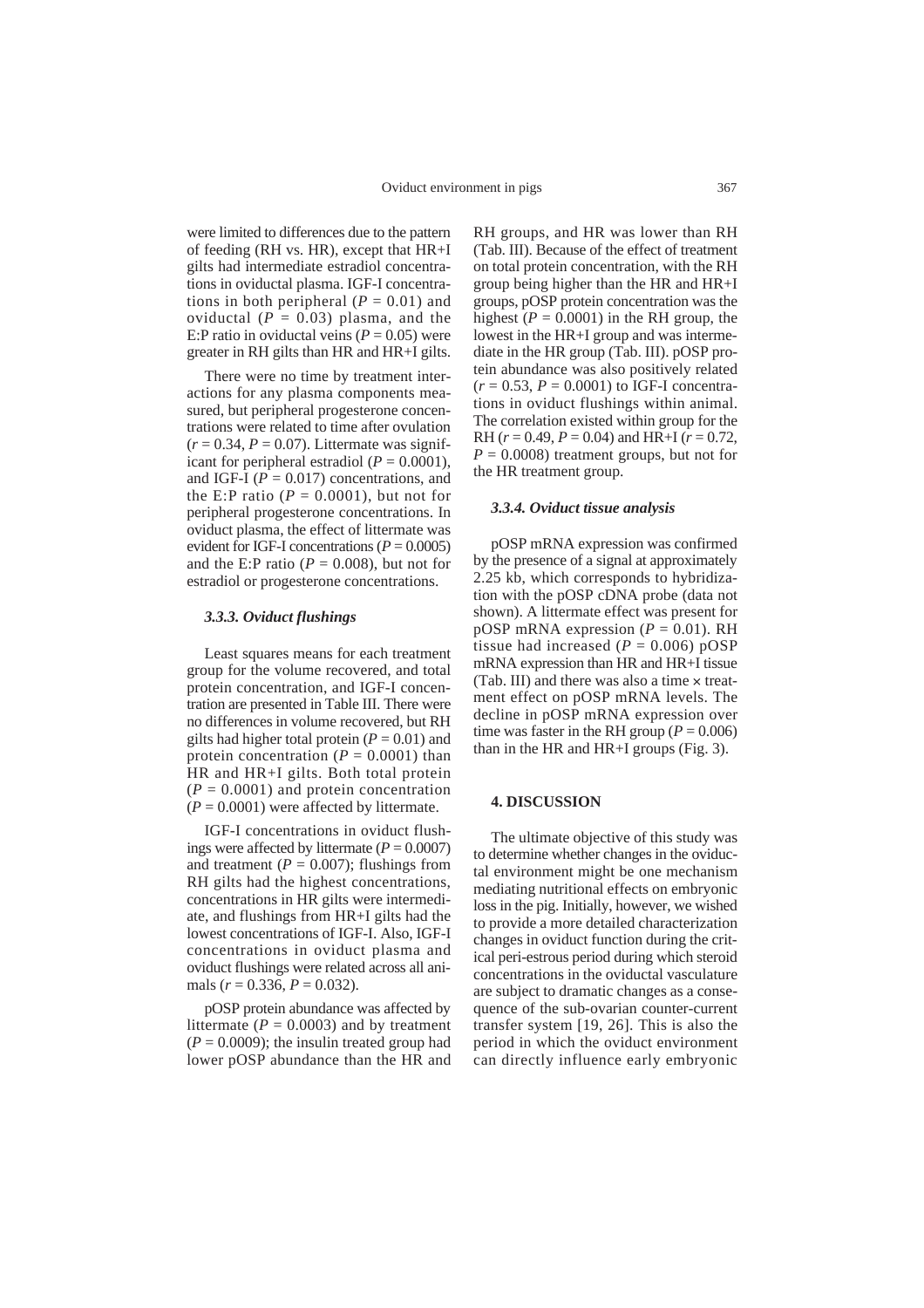were limited to differences due to the pattern of feeding (RH vs. HR), except that HR+I gilts had intermediate estradiol concentrations in oviductal plasma. IGF-I concentrations in both peripheral  $(P = 0.01)$  and oviductal  $(P = 0.03)$  plasma, and the E:P ratio in oviductal veins  $(P = 0.05)$  were greater in RH gilts than HR and HR+I gilts.

There were no time by treatment interactions for any plasma components measured, but peripheral progesterone concentrations were related to time after ovulation  $(r = 0.34, P = 0.07)$ . Littermate was significant for peripheral estradiol ( $P = 0.0001$ ), and IGF-I ( $P = 0.017$ ) concentrations, and the E:P ratio  $(P = 0.0001)$ , but not for peripheral progesterone concentrations. In oviduct plasma, the effect of littermate was evident for IGF-I concentrations  $(P = 0.0005)$ and the E:P ratio ( $P = 0.008$ ), but not for estradiol or progesterone concentrations.

#### *3.3.3. Oviduct flushings*

Least squares means for each treatment group for the volume recovered, and total protein concentration, and IGF-I concentration are presented in Table III. There were no differences in volume recovered, but RH gilts had higher total protein  $(P = 0.01)$  and protein concentration  $(P = 0.0001)$  than HR and HR+I gilts. Both total protein  $(P = 0.0001)$  and protein concentration  $(P = 0.0001)$  were affected by littermate.

IGF-I concentrations in oviduct flushings were affected by littermate  $(P = 0.0007)$ and treatment ( $P = 0.007$ ); flushings from RH gilts had the highest concentrations, concentrations in HR gilts were intermediate, and flushings from HR+I gilts had the lowest concentrations of IGF-I. Also, IGF-I concentrations in oviduct plasma and oviduct flushings were related across all animals ( $r = 0.336$ ,  $P = 0.032$ ).

pOSP protein abundance was affected by littermate  $(P = 0.0003)$  and by treatment  $(P = 0.0009)$ ; the insulin treated group had lower pOSP abundance than the HR and RH groups, and HR was lower than RH (Tab. III). Because of the effect of treatment on total protein concentration, with the RH group being higher than the HR and HR+I groups, pOSP protein concentration was the highest  $(P = 0.0001)$  in the RH group, the lowest in the HR+I group and was intermediate in the HR group (Tab. III). pOSP protein abundance was also positively related  $(r = 0.53, P = 0.0001)$  to IGF-I concentrations in oviduct flushings within animal. The correlation existed within group for the RH ( $r = 0.49$ ,  $P = 0.04$ ) and HR+I ( $r = 0.72$ ,  $P = 0.0008$ ) treatment groups, but not for the HR treatment group.

#### *3.3.4. Oviduct tissue analysis*

pOSP mRNA expression was confirmed by the presence of a signal at approximately 2.25 kb, which corresponds to hybridization with the pOSP cDNA probe (data not shown). A littermate effect was present for pOSP mRNA expression  $(P = 0.01)$ . RH tissue had increased  $(P = 0.006)$  pOSP mRNA expression than HR and HR+I tissue (Tab. III) and there was also a time  $\times$  treatment effect on pOSP mRNA levels. The decline in pOSP mRNA expression over time was faster in the RH group ( $P = 0.006$ ) than in the HR and HR+I groups (Fig. 3).

#### **4. DISCUSSION**

The ultimate objective of this study was to determine whether changes in the oviductal environment might be one mechanism mediating nutritional effects on embryonic loss in the pig. Initially, however, we wished to provide a more detailed characterization changes in oviduct function during the critical peri-estrous period during which steroid concentrations in the oviductal vasculature are subject to dramatic changes as a consequence of the sub-ovarian counter-current transfer system [19, 26]. This is also the period in which the oviduct environment can directly influence early embryonic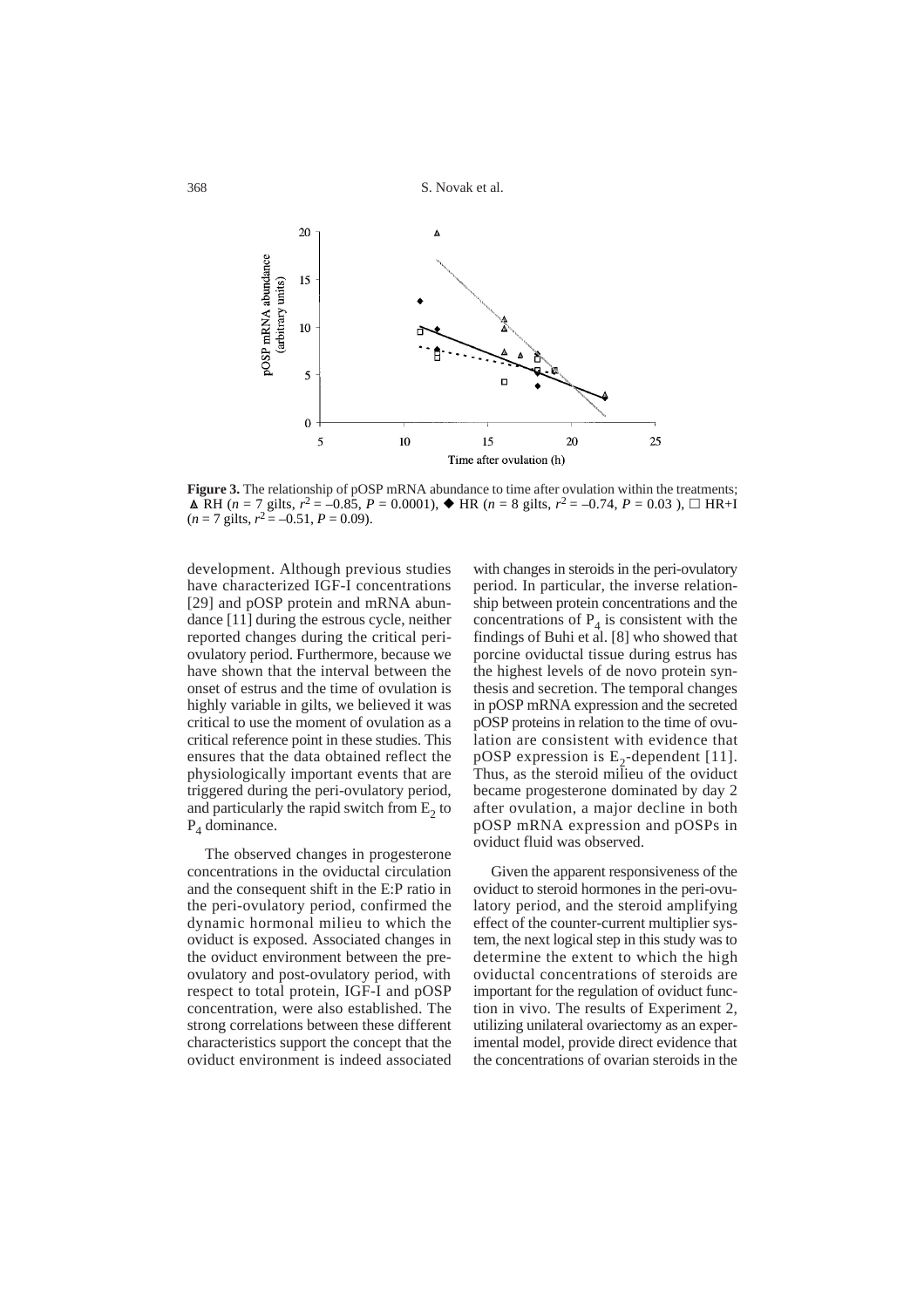S. Novak et al.



**Figure 3.** The relationship of pOSP mRNA abundance to time after ovulation within the treatments;  $\triangle$  RH (*n* = 7 gilts,  $r^2 = -0.85$ ,  $P = 0.0001$ ),  $\triangle$  HR (*n* = 8 gilts,  $r^2 = -0.74$ ,  $P = 0.03$ ),  $\Box$  HR+I  $(n = 7$  gilts,  $r^2 = -0.51$ ,  $P = 0.09$ ).

development. Although previous studies have characterized IGF-I concentrations [29] and pOSP protein and mRNA abundance [11] during the estrous cycle, neither reported changes during the critical periovulatory period. Furthermore, because we have shown that the interval between the onset of estrus and the time of ovulation is highly variable in gilts, we believed it was critical to use the moment of ovulation as a critical reference point in these studies. This ensures that the data obtained reflect the physiologically important events that are triggered during the peri-ovulatory period, and particularly the rapid switch from  $E<sub>2</sub>$  to  $P_4$  dominance.

The observed changes in progesterone concentrations in the oviductal circulation and the consequent shift in the E:P ratio in the peri-ovulatory period, confirmed the dynamic hormonal milieu to which the oviduct is exposed. Associated changes in the oviduct environment between the preovulatory and post-ovulatory period, with respect to total protein, IGF-I and pOSP concentration, were also established. The strong correlations between these different characteristics support the concept that the oviduct environment is indeed associated

with changes in steroids in the peri-ovulatory period. In particular, the inverse relationship between protein concentrations and the concentrations of  $P_4$  is consistent with the findings of Buhi et al. [8] who showed that porcine oviductal tissue during estrus has the highest levels of de novo protein synthesis and secretion. The temporal changes in pOSP mRNA expression and the secreted pOSP proteins in relation to the time of ovulation are consistent with evidence that pOSP expression is  $E_2$ -dependent [11]. Thus, as the steroid milieu of the oviduct became progesterone dominated by day 2 after ovulation, a major decline in both pOSP mRNA expression and pOSPs in oviduct fluid was observed.

Given the apparent responsiveness of the oviduct to steroid hormones in the peri-ovulatory period, and the steroid amplifying effect of the counter-current multiplier system, the next logical step in this study was to determine the extent to which the high oviductal concentrations of steroids are important for the regulation of oviduct function in vivo. The results of Experiment 2, utilizing unilateral ovariectomy as an experimental model, provide direct evidence that the concentrations of ovarian steroids in the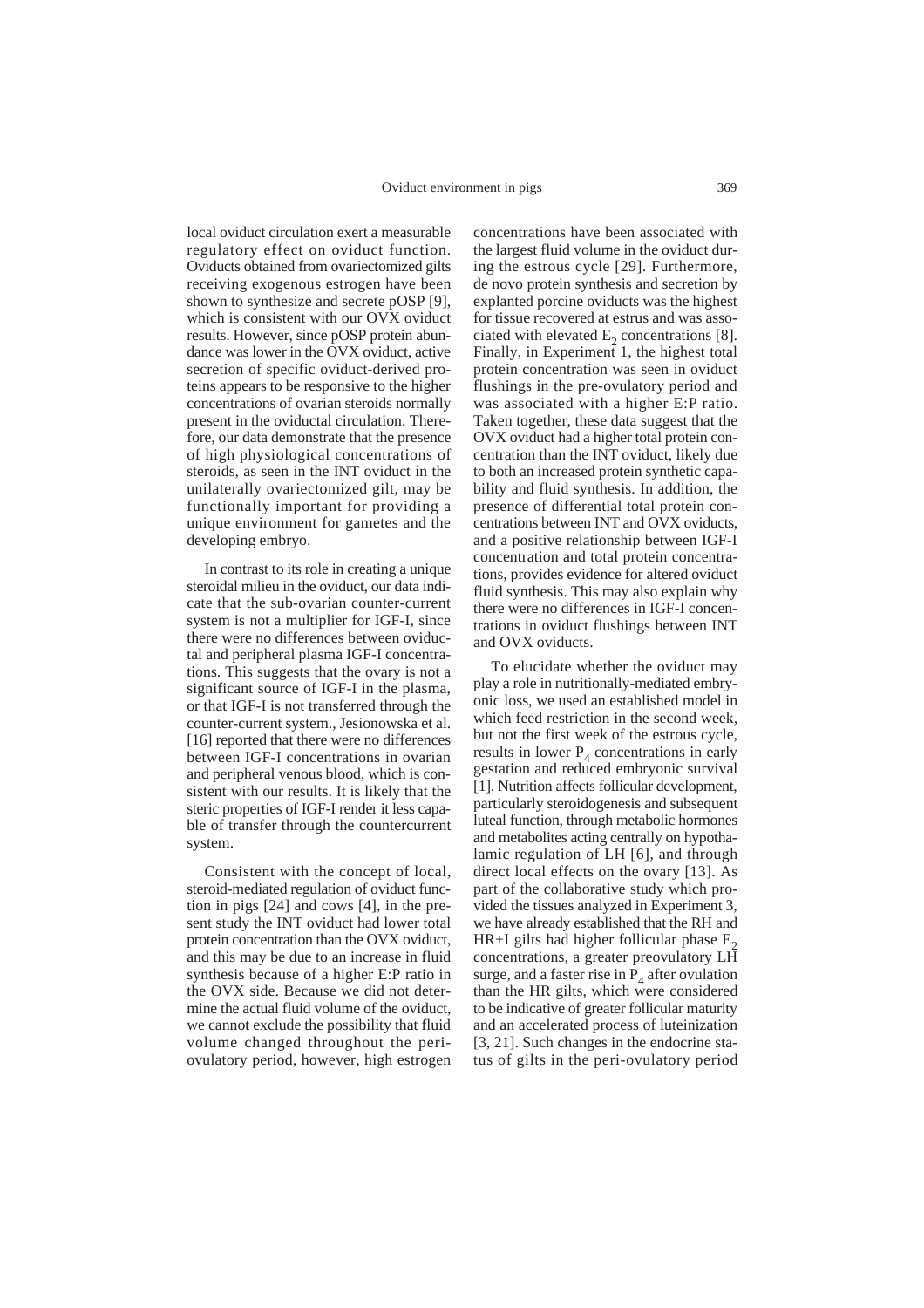local oviduct circulation exert a measurable regulatory effect on oviduct function. Oviducts obtained from ovariectomized gilts receiving exogenous estrogen have been shown to synthesize and secrete pOSP [9], which is consistent with our OVX oviduct results. However, since pOSP protein abundance was lower in the OVX oviduct, active secretion of specific oviduct-derived proteins appears to be responsive to the higher concentrations of ovarian steroids normally present in the oviductal circulation. Therefore, our data demonstrate that the presence of high physiological concentrations of steroids, as seen in the INT oviduct in the unilaterally ovariectomized gilt, may be functionally important for providing a unique environment for gametes and the developing embryo.

In contrast to its role in creating a unique steroidal milieu in the oviduct, our data indicate that the sub-ovarian counter-current system is not a multiplier for IGF-I, since there were no differences between oviductal and peripheral plasma IGF-I concentrations. This suggests that the ovary is not a significant source of IGF-I in the plasma, or that IGF-I is not transferred through the counter-current system., Jesionowska et al. [16] reported that there were no differences between IGF-I concentrations in ovarian and peripheral venous blood, which is consistent with our results. It is likely that the steric properties of IGF-I render it less capable of transfer through the countercurrent system.

Consistent with the concept of local, steroid-mediated regulation of oviduct function in pigs [24] and cows [4], in the present study the INT oviduct had lower total protein concentration than the OVX oviduct, and this may be due to an increase in fluid synthesis because of a higher E:P ratio in the OVX side. Because we did not determine the actual fluid volume of the oviduct, we cannot exclude the possibility that fluid volume changed throughout the periovulatory period, however, high estrogen concentrations have been associated with the largest fluid volume in the oviduct during the estrous cycle [29]. Furthermore, de novo protein synthesis and secretion by explanted porcine oviducts was the highest for tissue recovered at estrus and was associated with elevated  $E<sub>2</sub>$  concentrations [8]. Finally, in Experiment 1, the highest total protein concentration was seen in oviduct flushings in the pre-ovulatory period and was associated with a higher E:P ratio. Taken together, these data suggest that the OVX oviduct had a higher total protein concentration than the INT oviduct, likely due to both an increased protein synthetic capability and fluid synthesis. In addition, the presence of differential total protein concentrations between INT and OVX oviducts, and a positive relationship between IGF-I concentration and total protein concentrations, provides evidence for altered oviduct fluid synthesis. This may also explain why there were no differences in IGF-I concentrations in oviduct flushings between INT and OVX oviducts.

To elucidate whether the oviduct may play a role in nutritionally-mediated embryonic loss, we used an established model in which feed restriction in the second week, but not the first week of the estrous cycle, results in lower  $P<sub>A</sub>$  concentrations in early gestation and reduced embryonic survival [1]. Nutrition affects follicular development, particularly steroidogenesis and subsequent luteal function, through metabolic hormones and metabolites acting centrally on hypothalamic regulation of LH [6], and through direct local effects on the ovary [13]. As part of the collaborative study which provided the tissues analyzed in Experiment 3, we have already established that the RH and HR+I gilts had higher follicular phase  $E_2$ concentrations, a greater preovulatory LH surge, and a faster rise in  $P_4$  after ovulation than the HR gilts, which were considered to be indicative of greater follicular maturity and an accelerated process of luteinization [3, 21]. Such changes in the endocrine status of gilts in the peri-ovulatory period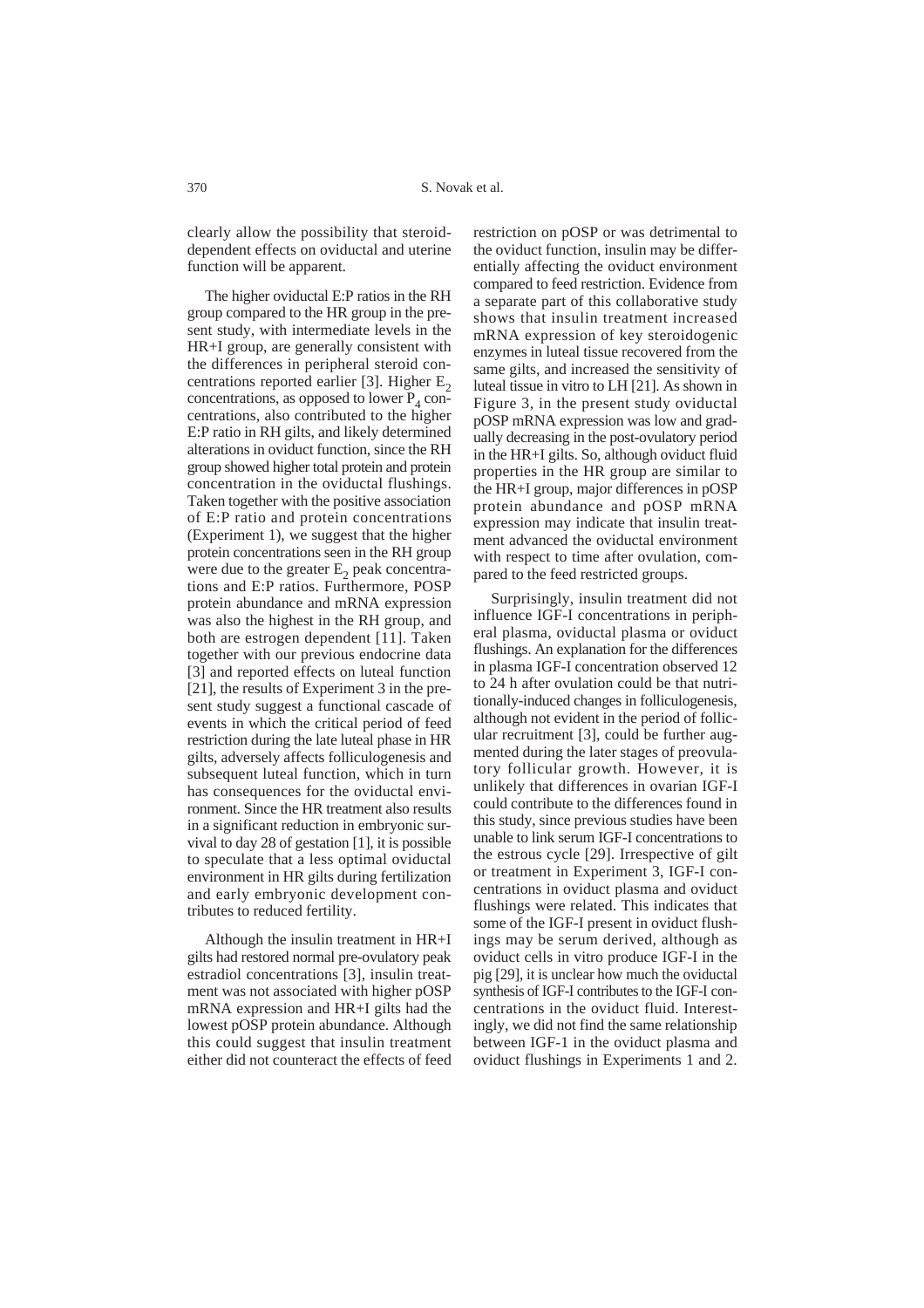clearly allow the possibility that steroiddependent effects on oviductal and uterine function will be apparent.

The higher oviductal E:P ratios in the RH group compared to the HR group in the present study, with intermediate levels in the HR+I group, are generally consistent with the differences in peripheral steroid concentrations reported earlier [3]. Higher  $E_2$ concentrations, as opposed to lower  $P_4$  concentrations, also contributed to the higher E:P ratio in RH gilts, and likely determined alterations in oviduct function, since the RH group showed higher total protein and protein concentration in the oviductal flushings. Taken together with the positive association of E:P ratio and protein concentrations (Experiment 1), we suggest that the higher protein concentrations seen in the RH group were due to the greater  $E<sub>2</sub>$  peak concentrations and E:P ratios. Furthermore, POSP protein abundance and mRNA expression was also the highest in the RH group, and both are estrogen dependent [11]. Taken together with our previous endocrine data [3] and reported effects on luteal function [21], the results of Experiment 3 in the present study suggest a functional cascade of events in which the critical period of feed restriction during the late luteal phase in HR gilts, adversely affects folliculogenesis and subsequent luteal function, which in turn has consequences for the oviductal environment. Since the HR treatment also results in a significant reduction in embryonic survival to day 28 of gestation [1], it is possible to speculate that a less optimal oviductal environment in HR gilts during fertilization and early embryonic development contributes to reduced fertility.

Although the insulin treatment in HR+I gilts had restored normal pre-ovulatory peak estradiol concentrations [3], insulin treatment was not associated with higher pOSP mRNA expression and HR+I gilts had the lowest pOSP protein abundance. Although this could suggest that insulin treatment either did not counteract the effects of feed restriction on pOSP or was detrimental to the oviduct function, insulin may be differentially affecting the oviduct environment compared to feed restriction. Evidence from a separate part of this collaborative study shows that insulin treatment increased mRNA expression of key steroidogenic enzymes in luteal tissue recovered from the same gilts, and increased the sensitivity of luteal tissue in vitro to LH [21]. As shown in Figure 3, in the present study oviductal pOSP mRNA expression was low and gradually decreasing in the post-ovulatory period in the HR+I gilts. So, although oviduct fluid properties in the HR group are similar to the HR+I group, major differences in pOSP protein abundance and pOSP mRNA expression may indicate that insulin treatment advanced the oviductal environment with respect to time after ovulation, compared to the feed restricted groups.

Surprisingly, insulin treatment did not influence IGF-I concentrations in peripheral plasma, oviductal plasma or oviduct flushings. An explanation for the differences in plasma IGF-I concentration observed 12 to 24 h after ovulation could be that nutritionally-induced changes in folliculogenesis, although not evident in the period of follicular recruitment [3], could be further augmented during the later stages of preovulatory follicular growth. However, it is unlikely that differences in ovarian IGF-I could contribute to the differences found in this study, since previous studies have been unable to link serum IGF-I concentrations to the estrous cycle [29]. Irrespective of gilt or treatment in Experiment 3, IGF-I concentrations in oviduct plasma and oviduct flushings were related. This indicates that some of the IGF-I present in oviduct flushings may be serum derived, although as oviduct cells in vitro produce IGF-I in the pig [29], it is unclear how much the oviductal synthesis of IGF-I contributes to the IGF-I concentrations in the oviduct fluid. Interestingly, we did not find the same relationship between IGF-1 in the oviduct plasma and oviduct flushings in Experiments 1 and 2.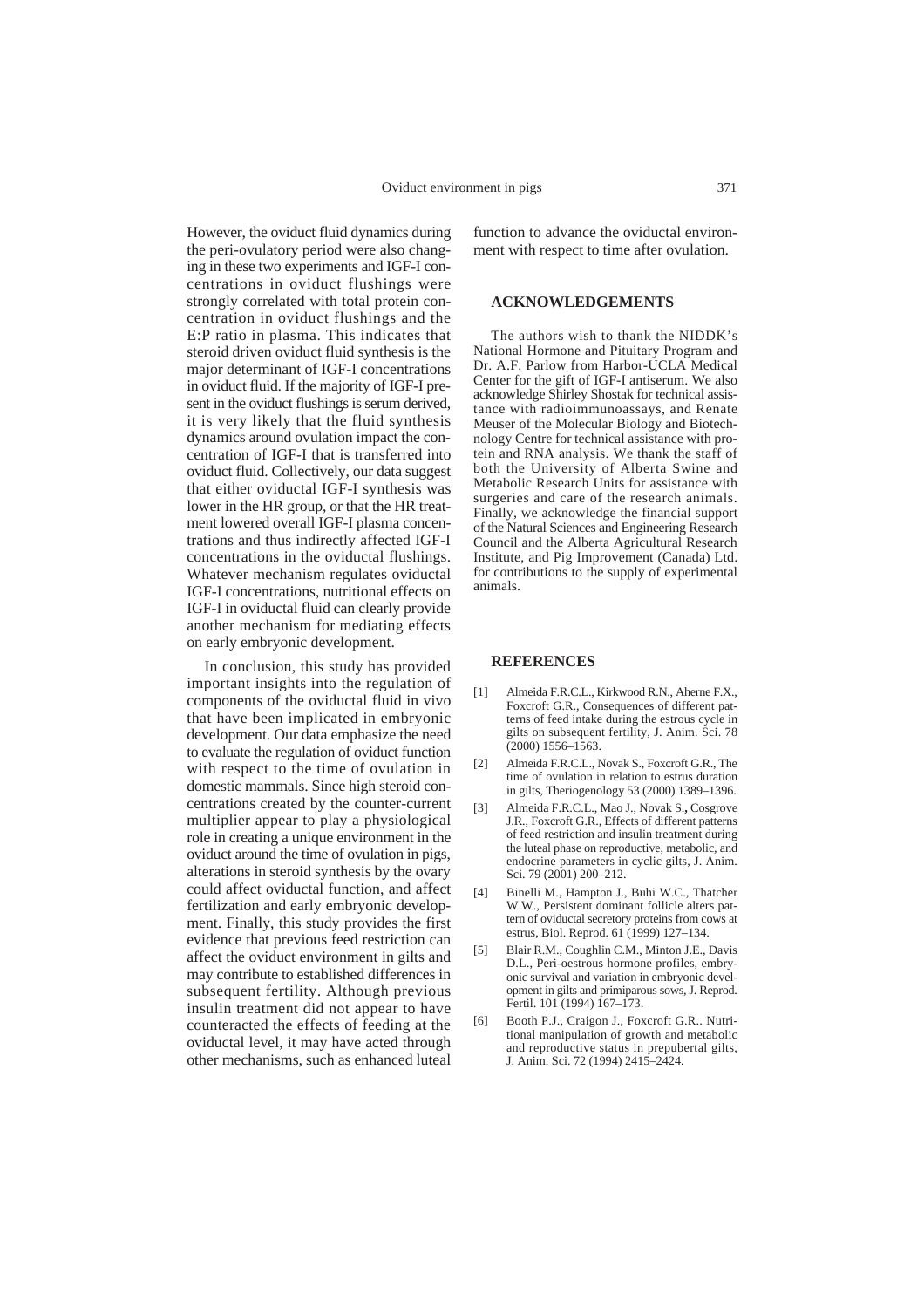However, the oviduct fluid dynamics during the peri-ovulatory period were also changing in these two experiments and IGF-I concentrations in oviduct flushings were strongly correlated with total protein concentration in oviduct flushings and the E:P ratio in plasma. This indicates that steroid driven oviduct fluid synthesis is the major determinant of IGF-I concentrations in oviduct fluid. If the majority of IGF-I present in the oviduct flushings is serum derived, it is very likely that the fluid synthesis dynamics around ovulation impact the concentration of IGF-I that is transferred into oviduct fluid. Collectively, our data suggest that either oviductal IGF-I synthesis was lower in the HR group, or that the HR treatment lowered overall IGF-I plasma concentrations and thus indirectly affected IGF-I concentrations in the oviductal flushings. Whatever mechanism regulates oviductal IGF-I concentrations, nutritional effects on IGF-I in oviductal fluid can clearly provide another mechanism for mediating effects on early embryonic development.

In conclusion, this study has provided important insights into the regulation of components of the oviductal fluid in vivo that have been implicated in embryonic development. Our data emphasize the need to evaluate the regulation of oviduct function with respect to the time of ovulation in domestic mammals. Since high steroid concentrations created by the counter-current multiplier appear to play a physiological role in creating a unique environment in the oviduct around the time of ovulation in pigs, alterations in steroid synthesis by the ovary could affect oviductal function, and affect fertilization and early embryonic development. Finally, this study provides the first evidence that previous feed restriction can affect the oviduct environment in gilts and may contribute to established differences in subsequent fertility. Although previous insulin treatment did not appear to have counteracted the effects of feeding at the oviductal level, it may have acted through other mechanisms, such as enhanced luteal

function to advance the oviductal environment with respect to time after ovulation.

## **ACKNOWLEDGEMENTS**

The authors wish to thank the NIDDK's National Hormone and Pituitary Program and Dr. A.F. Parlow from Harbor-UCLA Medical Center for the gift of IGF-I antiserum. We also acknowledge Shirley Shostak for technical assistance with radioimmunoassays, and Renate Meuser of the Molecular Biology and Biotechnology Centre for technical assistance with protein and RNA analysis. We thank the staff of both the University of Alberta Swine and Metabolic Research Units for assistance with surgeries and care of the research animals. Finally, we acknowledge the financial support of the Natural Sciences and Engineering Research Council and the Alberta Agricultural Research Institute, and Pig Improvement (Canada) Ltd. for contributions to the supply of experimental animals.

#### **REFERENCES**

- [1] Almeida F.R.C.L., Kirkwood R.N., Aherne F.X., Foxcroft G.R., Consequences of different patterns of feed intake during the estrous cycle in gilts on subsequent fertility, J. Anim. Sci. 78  $(2000)$  1556–1563.
- [2] Almeida F.R.C.L., Novak S., Foxcroft G.R., The time of ovulation in relation to estrus duration in gilts, Theriogenology 53 (2000) 1389–1396.
- [3] Almeida F.R.C.L., Mao J., Novak S.**,** Cosgrove J.R., Foxcroft G.R., Effects of different patterns of feed restriction and insulin treatment during the luteal phase on reproductive, metabolic, and endocrine parameters in cyclic gilts, J. Anim. Sci. 79 (2001) 200-212.
- [4] Binelli M., Hampton J., Buhi W.C., Thatcher W.W., Persistent dominant follicle alters pattern of oviductal secretory proteins from cows at estrus, Biol. Reprod. 61 (1999) 127–134.
- [5] Blair R.M., Coughlin C.M., Minton J.E., Davis D.L., Peri-oestrous hormone profiles, embryonic survival and variation in embryonic development in gilts and primiparous sows, J. Reprod. Fertil. 101 (1994) 167-173.
- [6] Booth P.J., Craigon J., Foxcroft G.R.. Nutritional manipulation of growth and metabolic and reproductive status in prepubertal gilts, J. Anim. Sci. 72 (1994) 2415–2424.